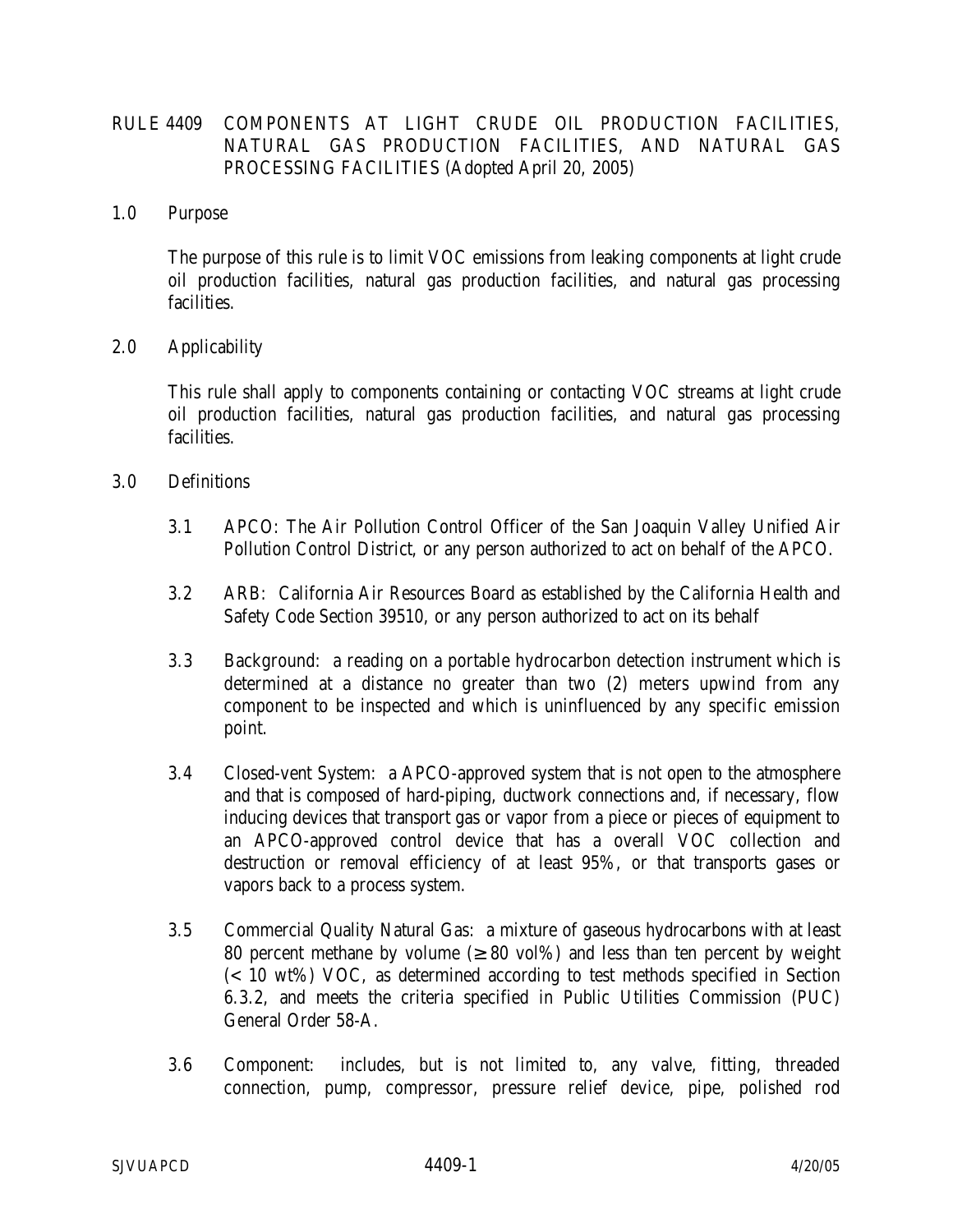## RULE 4409 COMPONENTS AT LIGHT CRUDE OIL PRODUCTION FACILITIES, NATURAL GAS PRODUCTION FACILITIES, AND NATURAL GAS PROCESSING FACILITIES (Adopted April 20, 2005)

#### 1.0 Purpose

 The purpose of this rule is to limit VOC emissions from leaking components at light crude oil production facilities, natural gas production facilities, and natural gas processing facilities.

## 2.0 Applicability

 This rule shall apply to components containing or contacting VOC streams at light crude oil production facilities, natural gas production facilities, and natural gas processing facilities.

## 3.0 Definitions

- 3.1 APCO: The Air Pollution Control Officer of the San Joaquin Valley Unified Air Pollution Control District, or any person authorized to act on behalf of the APCO.
- 3.2 ARB: California Air Resources Board as established by the California Health and Safety Code Section 39510, or any person authorized to act on its behalf
- 3.3 Background: a reading on a portable hydrocarbon detection instrument which is determined at a distance no greater than two (2) meters upwind from any component to be inspected and which is uninfluenced by any specific emission point.
- 3.4 Closed-vent System: a APCO-approved system that is not open to the atmosphere and that is composed of hard-piping, ductwork connections and, if necessary, flow inducing devices that transport gas or vapor from a piece or pieces of equipment to an APCO-approved control device that has a overall VOC collection and destruction or removal efficiency of at least 95%, or that transports gases or vapors back to a process system.
- 3.5 Commercial Quality Natural Gas: a mixture of gaseous hydrocarbons with at least 80 percent methane by volume  $(280 \text{ vol})\%$  and less than ten percent by weight  $\approx$  10 wt%) VOC, as determined according to test methods specified in Section 6.3.2, and meets the criteria specified in Public Utilities Commission (PUC) General Order 58-A.
- 3.6 Component: includes, but is not limited to, any valve, fitting, threaded connection, pump, compressor, pressure relief device, pipe, polished rod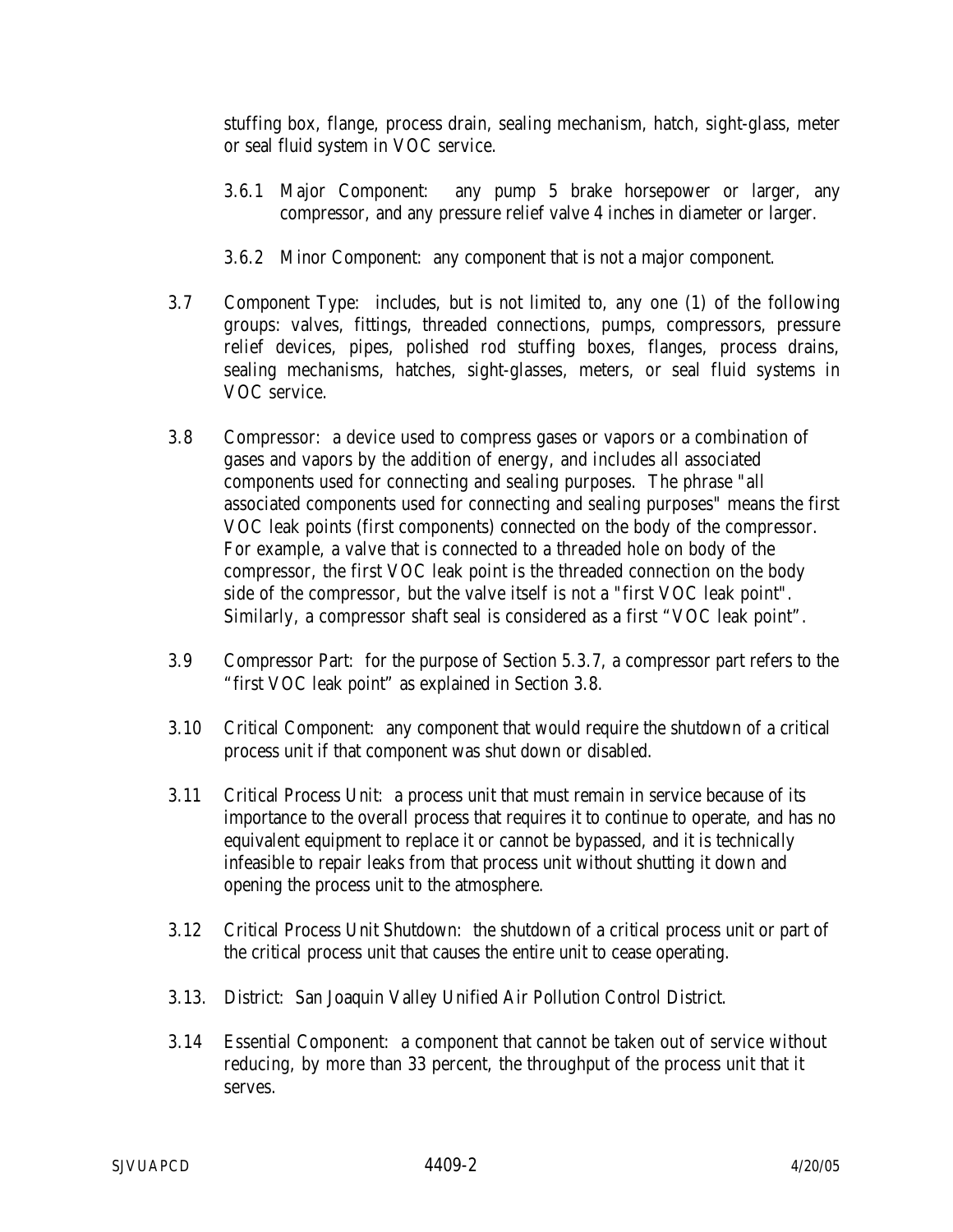stuffing box, flange, process drain, sealing mechanism, hatch, sight-glass, meter or seal fluid system in VOC service.

- 3.6.1 Major Component: any pump 5 brake horsepower or larger, any compressor, and any pressure relief valve 4 inches in diameter or larger.
- 3.6.2 Minor Component: any component that is not a major component.
- 3.7 Component Type: includes, but is not limited to, any one (1) of the following groups: valves, fittings, threaded connections, pumps, compressors, pressure relief devices, pipes, polished rod stuffing boxes, flanges, process drains, sealing mechanisms, hatches, sight-glasses, meters, or seal fluid systems in VOC service.
- 3.8 Compressor: a device used to compress gases or vapors or a combination of gases and vapors by the addition of energy, and includes all associated components used for connecting and sealing purposes. The phrase "all associated components used for connecting and sealing purposes" means the first VOC leak points (first components) connected on the body of the compressor. For example, a valve that is connected to a threaded hole on body of the compressor, the first VOC leak point is the threaded connection on the body side of the compressor, but the valve itself is not a "first VOC leak point". Similarly, a compressor shaft seal is considered as a first "VOC leak point".
- 3.9 Compressor Part: for the purpose of Section 5.3.7, a compressor part refers to the "first VOC leak point" as explained in Section 3.8.
- 3.10 Critical Component: any component that would require the shutdown of a critical process unit if that component was shut down or disabled.
- 3.11 Critical Process Unit: a process unit that must remain in service because of its importance to the overall process that requires it to continue to operate, and has no equivalent equipment to replace it or cannot be bypassed, and it is technically infeasible to repair leaks from that process unit without shutting it down and opening the process unit to the atmosphere.
- 3.12 Critical Process Unit Shutdown: the shutdown of a critical process unit or part of the critical process unit that causes the entire unit to cease operating.
- 3.13. District: San Joaquin Valley Unified Air Pollution Control District.
- 3.14 Essential Component: a component that cannot be taken out of service without reducing, by more than 33 percent, the throughput of the process unit that it serves.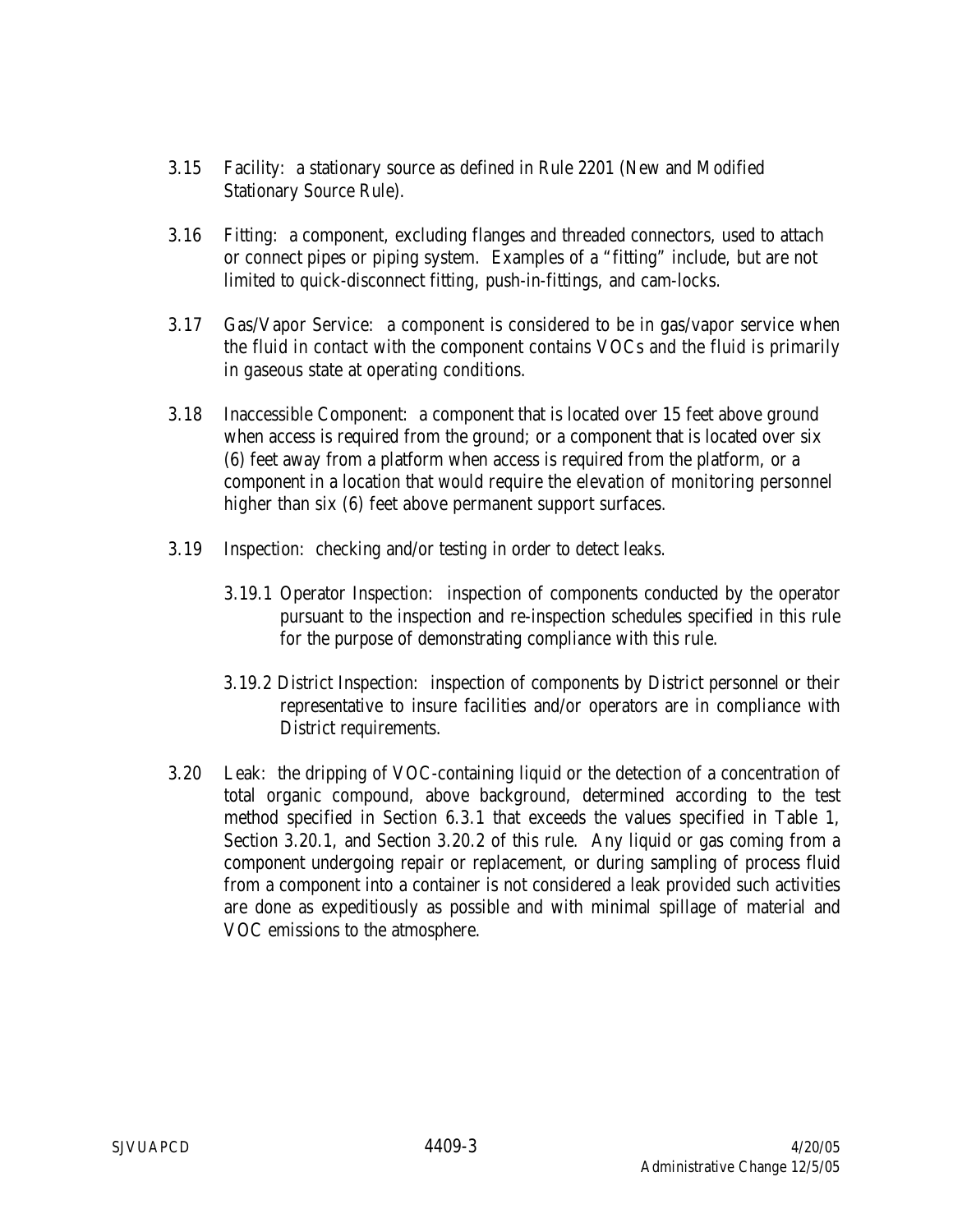- 3.15 Facility: a stationary source as defined in Rule 2201 (New and Modified Stationary Source Rule).
- 3.16 Fitting: a component, excluding flanges and threaded connectors, used to attach or connect pipes or piping system. Examples of a "fitting" include, but are not limited to quick-disconnect fitting, push-in-fittings, and cam-locks.
- 3.17 Gas/Vapor Service: a component is considered to be in gas/vapor service when the fluid in contact with the component contains VOCs and the fluid is primarily in gaseous state at operating conditions.
- 3.18 Inaccessible Component: a component that is located over 15 feet above ground when access is required from the ground; or a component that is located over six (6) feet away from a platform when access is required from the platform, or a component in a location that would require the elevation of monitoring personnel higher than six (6) feet above permanent support surfaces.
- 3.19 Inspection: checking and/or testing in order to detect leaks.
	- 3.19.1 Operator Inspection: inspection of components conducted by the operator pursuant to the inspection and re-inspection schedules specified in this rule for the purpose of demonstrating compliance with this rule.
	- 3.19.2 District Inspection: inspection of components by District personnel or their representative to insure facilities and/or operators are in compliance with District requirements.
- 3.20 Leak: the dripping of VOC-containing liquid or the detection of a concentration of total organic compound, above background, determined according to the test method specified in Section 6.3.1 that exceeds the values specified in Table 1, Section 3.20.1, and Section 3.20.2 of this rule. Any liquid or gas coming from a component undergoing repair or replacement, or during sampling of process fluid from a component into a container is not considered a leak provided such activities are done as expeditiously as possible and with minimal spillage of material and VOC emissions to the atmosphere.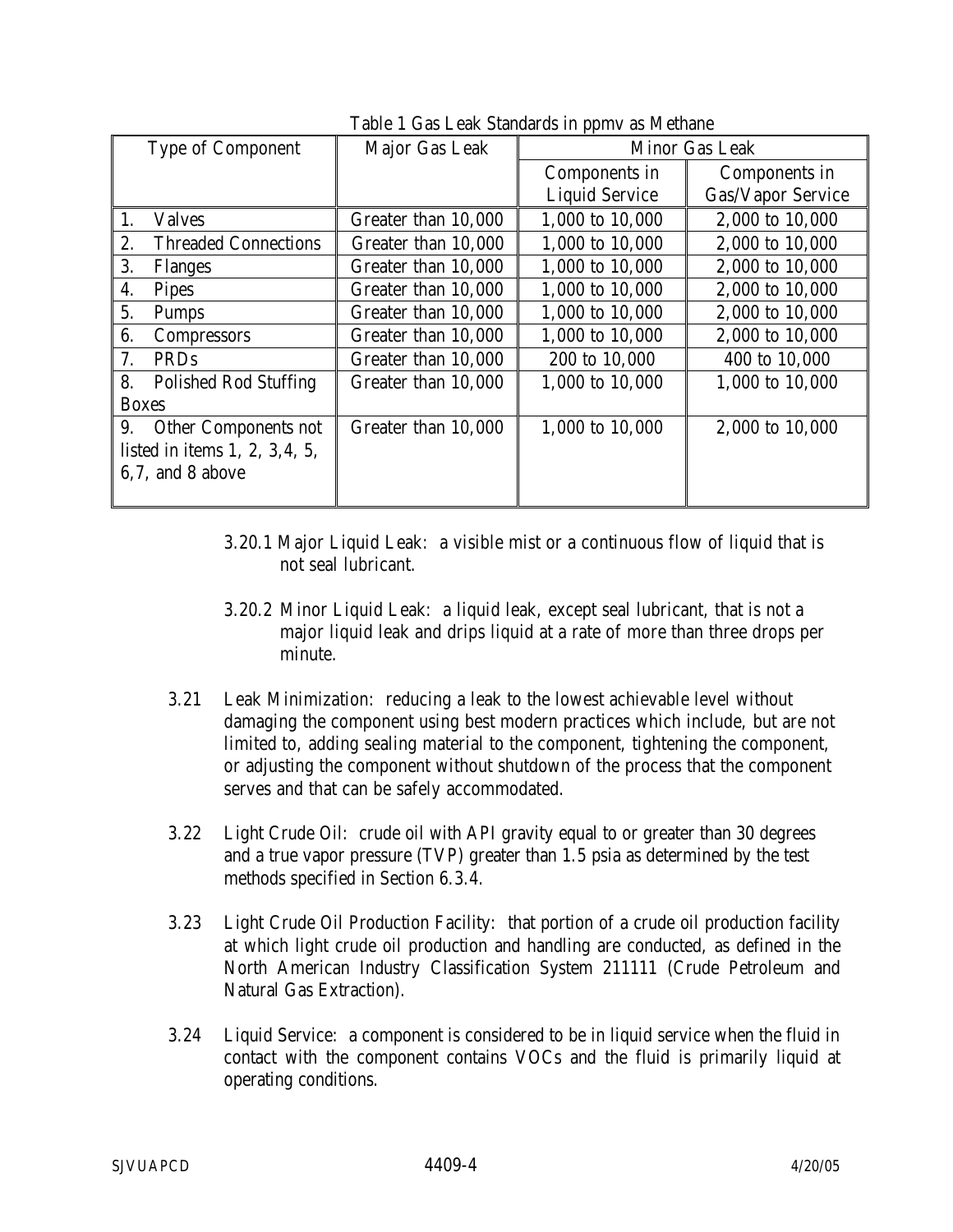| <b>Type of Component</b>           | Major Gas Leak      |                       | Minor Gas Leak    |
|------------------------------------|---------------------|-----------------------|-------------------|
|                                    |                     | Components in         | Components in     |
|                                    |                     | <b>Liquid Service</b> | Gas/Vapor Service |
| <b>Valves</b>                      | Greater than 10,000 | 1,000 to 10,000       | 2,000 to 10,000   |
| <b>Threaded Connections</b><br>2.  | Greater than 10,000 | 1,000 to 10,000       | 2,000 to 10,000   |
| 3.<br><b>Flanges</b>               | Greater than 10,000 | 1,000 to 10,000       | 2,000 to 10,000   |
| 4.<br><b>Pipes</b>                 | Greater than 10,000 | 1,000 to 10,000       | 2,000 to 10,000   |
| 5.<br><b>Pumps</b>                 | Greater than 10,000 | 1,000 to 10,000       | 2,000 to 10,000   |
| 6.<br><b>Compressors</b>           | Greater than 10,000 | 1,000 to 10,000       | 2,000 to 10,000   |
| 7.<br>PRDs                         | Greater than 10,000 | 200 to 10,000         | 400 to 10,000     |
| 8.<br><b>Polished Rod Stuffing</b> | Greater than 10,000 | 1,000 to 10,000       | 1,000 to 10,000   |
| <b>Boxes</b>                       |                     |                       |                   |
| 9.<br><b>Other Components not</b>  | Greater than 10,000 | 1,000 to 10,000       | 2,000 to 10,000   |
| listed in items $1, 2, 3, 4, 5$ ,  |                     |                       |                   |
| 6,7, and 8 above                   |                     |                       |                   |
|                                    |                     |                       |                   |

Table 1 Gas Leak Standards in ppmy as Methane

- 3.20.1 Major Liquid Leak: a visible mist or a continuous flow of liquid that is not seal lubricant.
- 3.20.2 Minor Liquid Leak: a liquid leak, except seal lubricant, that is not a major liquid leak and drips liquid at a rate of more than three drops per minute.
- 3.21 Leak Minimization: reducing a leak to the lowest achievable level without damaging the component using best modern practices which include, but are not limited to, adding sealing material to the component, tightening the component, or adjusting the component without shutdown of the process that the component serves and that can be safely accommodated.
- 3.22 Light Crude Oil: crude oil with API gravity equal to or greater than 30 degrees and a true vapor pressure (TVP) greater than 1.5 psia as determined by the test methods specified in Section 6.3.4.
- 3.23 Light Crude Oil Production Facility: that portion of a crude oil production facility at which light crude oil production and handling are conducted, as defined in the North American Industry Classification System 211111 (Crude Petroleum and Natural Gas Extraction).
- 3.24 Liquid Service: a component is considered to be in liquid service when the fluid in contact with the component contains VOCs and the fluid is primarily liquid at operating conditions.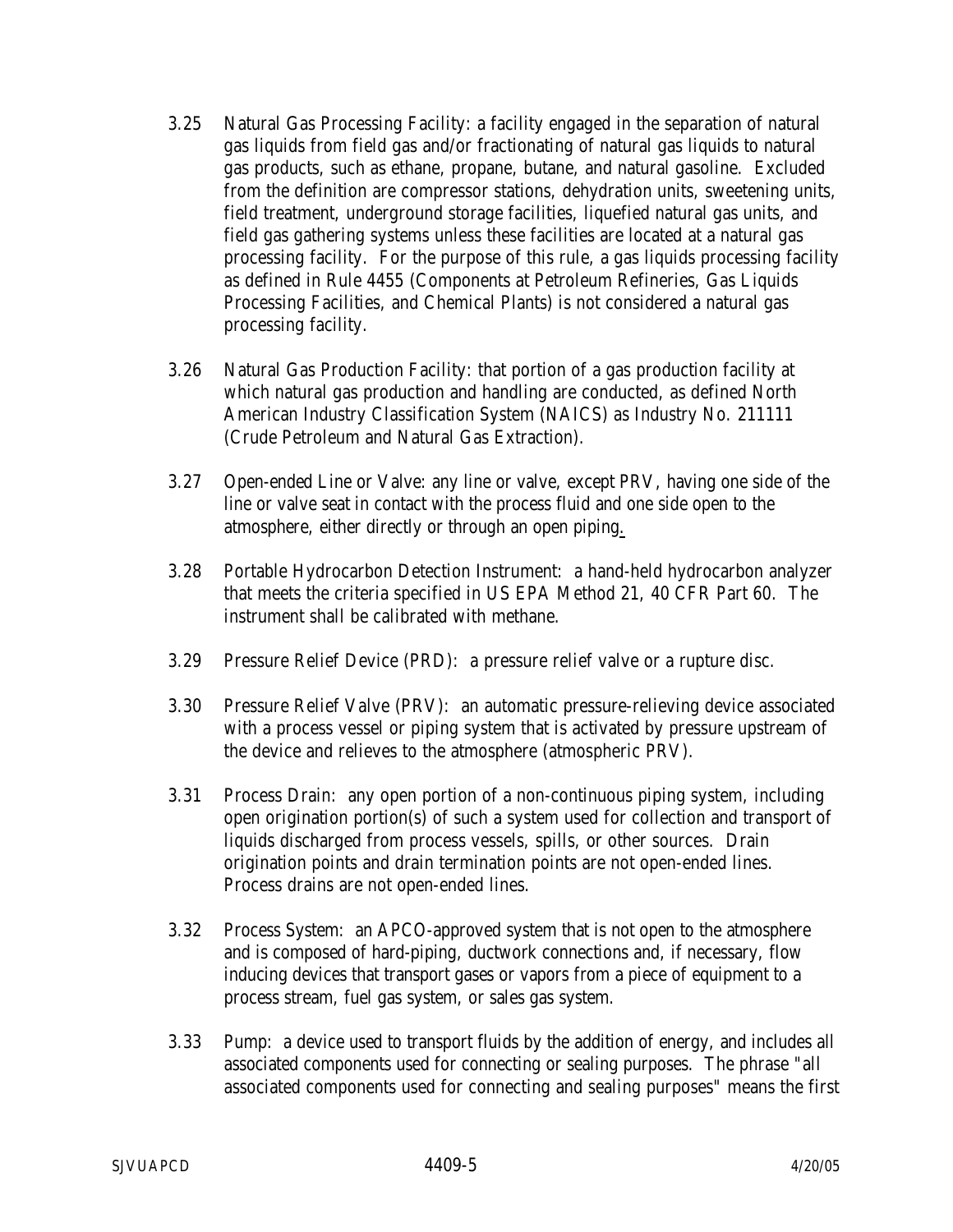- 3.25 Natural Gas Processing Facility: a facility engaged in the separation of natural gas liquids from field gas and/or fractionating of natural gas liquids to natural gas products, such as ethane, propane, butane, and natural gasoline. Excluded from the definition are compressor stations, dehydration units, sweetening units, field treatment, underground storage facilities, liquefied natural gas units, and field gas gathering systems unless these facilities are located at a natural gas processing facility. For the purpose of this rule, a gas liquids processing facility as defined in Rule 4455 (Components at Petroleum Refineries, Gas Liquids Processing Facilities, and Chemical Plants) is not considered a natural gas processing facility.
- 3.26 Natural Gas Production Facility: that portion of a gas production facility at which natural gas production and handling are conducted, as defined North American Industry Classification System (NAICS) as Industry No. 211111 (Crude Petroleum and Natural Gas Extraction).
- 3.27 Open-ended Line or Valve: any line or valve, except PRV, having one side of the line or valve seat in contact with the process fluid and one side open to the atmosphere, either directly or through an open piping.
- 3.28 Portable Hydrocarbon Detection Instrument: a hand-held hydrocarbon analyzer that meets the criteria specified in US EPA Method 21, 40 CFR Part 60. The instrument shall be calibrated with methane.
- 3.29 Pressure Relief Device (PRD): a pressure relief valve or a rupture disc.
- 3.30 Pressure Relief Valve (PRV): an automatic pressure-relieving device associated with a process vessel or piping system that is activated by pressure upstream of the device and relieves to the atmosphere (atmospheric PRV).
- 3.31 Process Drain: any open portion of a non-continuous piping system, including open origination portion(s) of such a system used for collection and transport of liquids discharged from process vessels, spills, or other sources. Drain origination points and drain termination points are not open-ended lines. Process drains are not open-ended lines.
- 3.32 Process System: an APCO-approved system that is not open to the atmosphere and is composed of hard-piping, ductwork connections and, if necessary, flow inducing devices that transport gases or vapors from a piece of equipment to a process stream, fuel gas system, or sales gas system.
- 3.33 Pump: a device used to transport fluids by the addition of energy, and includes all associated components used for connecting or sealing purposes. The phrase "all associated components used for connecting and sealing purposes" means the first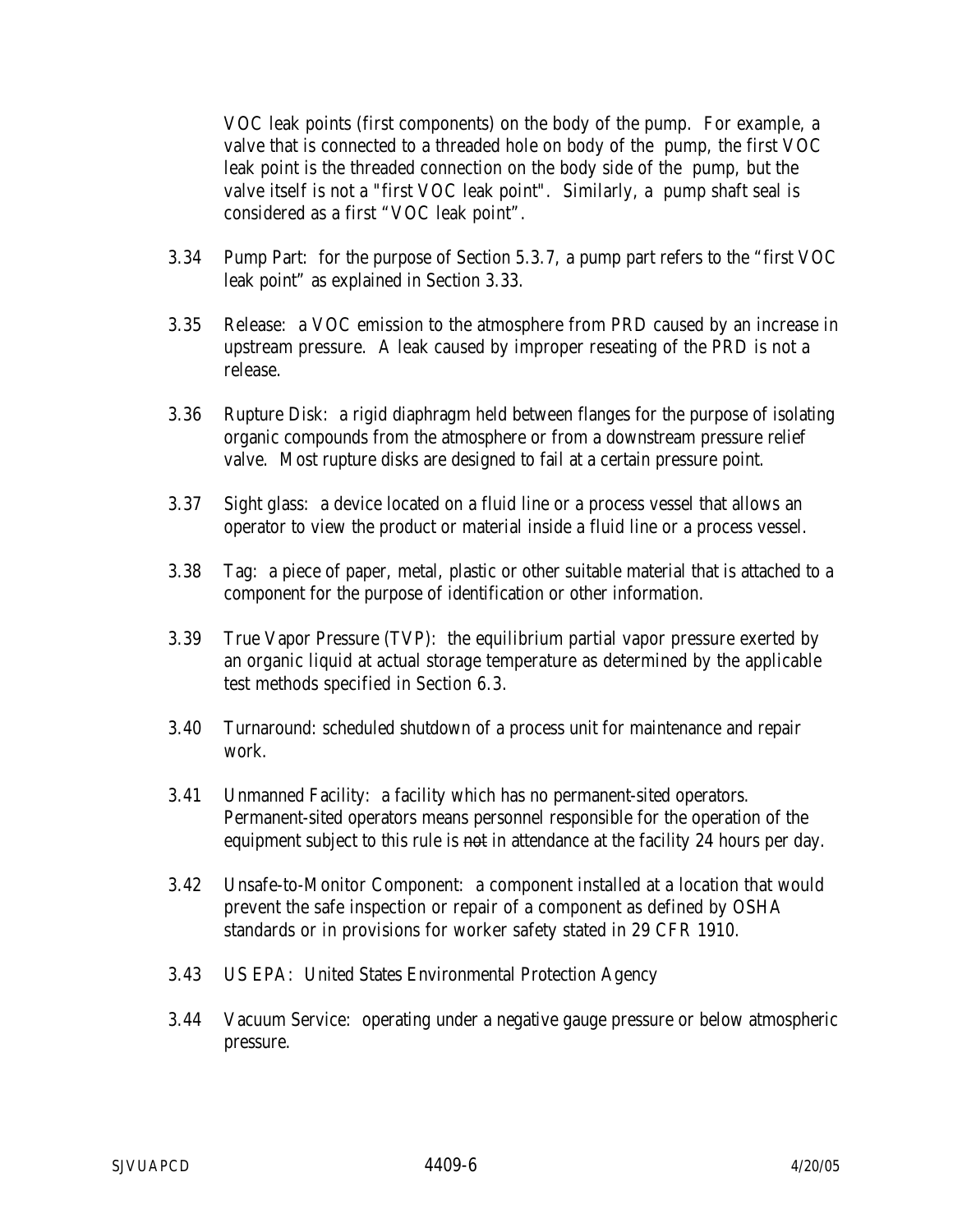VOC leak points (first components) on the body of the pump. For example, a valve that is connected to a threaded hole on body of the pump, the first VOC leak point is the threaded connection on the body side of the pump, but the valve itself is not a "first VOC leak point". Similarly, a pump shaft seal is considered as a first "VOC leak point".

- 3.34 Pump Part: for the purpose of Section 5.3.7, a pump part refers to the "first VOC leak point" as explained in Section 3.33.
- 3.35 Release: a VOC emission to the atmosphere from PRD caused by an increase in upstream pressure. A leak caused by improper reseating of the PRD is not a release.
- 3.36 Rupture Disk: a rigid diaphragm held between flanges for the purpose of isolating organic compounds from the atmosphere or from a downstream pressure relief valve. Most rupture disks are designed to fail at a certain pressure point.
- 3.37 Sight glass: a device located on a fluid line or a process vessel that allows an operator to view the product or material inside a fluid line or a process vessel.
- 3.38 Tag: a piece of paper, metal, plastic or other suitable material that is attached to a component for the purpose of identification or other information.
- 3.39 True Vapor Pressure (TVP): the equilibrium partial vapor pressure exerted by an organic liquid at actual storage temperature as determined by the applicable test methods specified in Section 6.3.
- 3.40 Turnaround: scheduled shutdown of a process unit for maintenance and repair work.
- 3.41 Unmanned Facility: a facility which has no permanent-sited operators. Permanent-sited operators means personnel responsible for the operation of the equipment subject to this rule is not in attendance at the facility 24 hours per day.
- 3.42 Unsafe-to-Monitor Component: a component installed at a location that would prevent the safe inspection or repair of a component as defined by OSHA standards or in provisions for worker safety stated in 29 CFR 1910.
- 3.43 US EPA: United States Environmental Protection Agency
- 3.44 Vacuum Service: operating under a negative gauge pressure or below atmospheric pressure.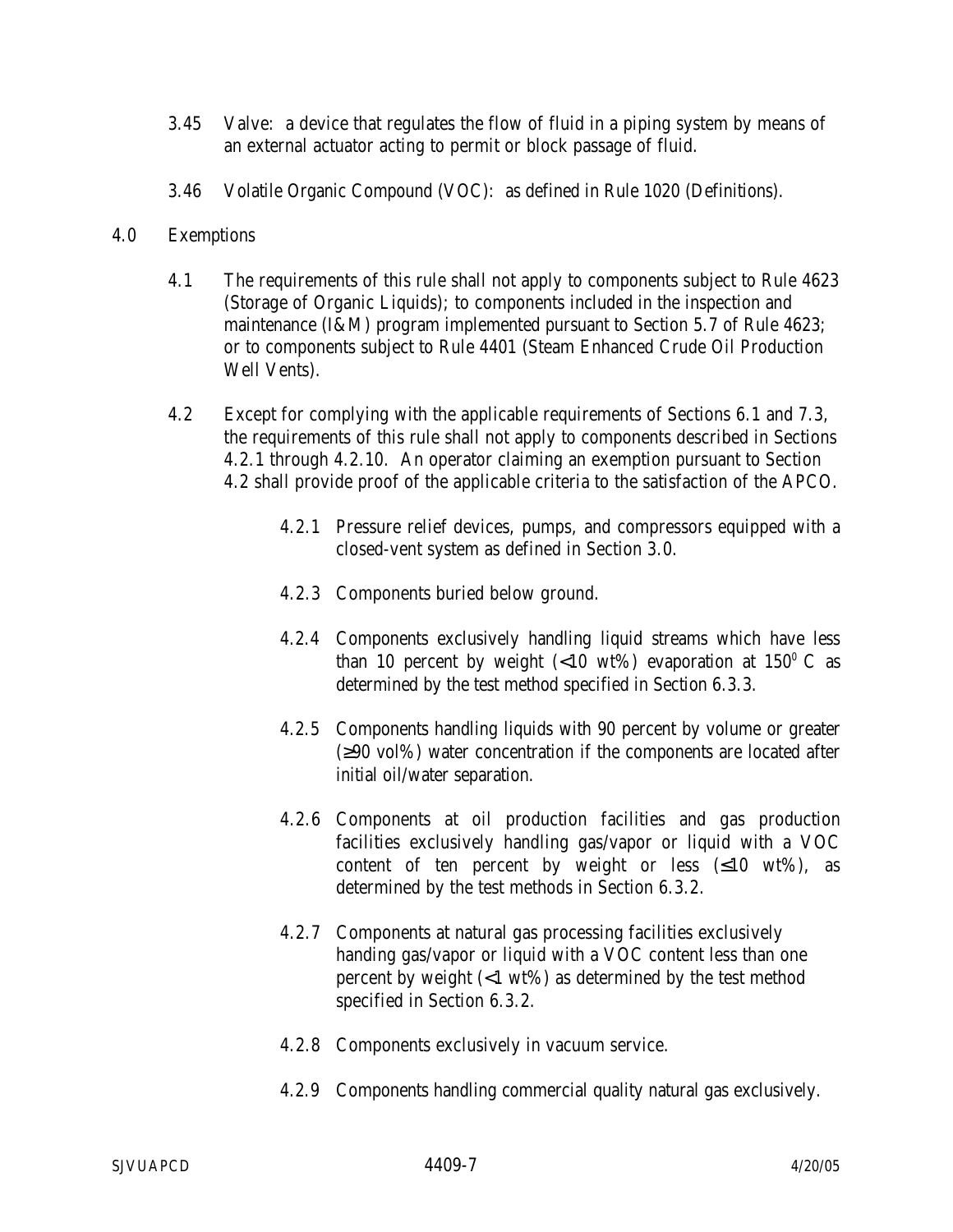- 3.45 Valve: a device that regulates the flow of fluid in a piping system by means of an external actuator acting to permit or block passage of fluid.
- 3.46 Volatile Organic Compound (VOC): as defined in Rule 1020 (Definitions).
- 4.0 Exemptions
	- 4.1 The requirements of this rule shall not apply to components subject to Rule 4623 (Storage of Organic Liquids); to components included in the inspection and maintenance (I&M) program implemented pursuant to Section 5.7 of Rule 4623; or to components subject to Rule 4401 (Steam Enhanced Crude Oil Production Well Vents).
	- 4.2 Except for complying with the applicable requirements of Sections 6.1 and 7.3, the requirements of this rule shall not apply to components described in Sections 4.2.1 through 4.2.10. An operator claiming an exemption pursuant to Section 4.2 shall provide proof of the applicable criteria to the satisfaction of the APCO.
		- 4.2.1 Pressure relief devices, pumps, and compressors equipped with a closed-vent system as defined in Section 3.0.
		- 4.2.3 Components buried below ground.
		- 4.2.4 Components exclusively handling liquid streams which have less than 10 percent by weight  $(<10 \text{ wt\%})$  evaporation at  $150^{\circ}$  C as determined by the test method specified in Section 6.3.3.
		- 4.2.5 Components handling liquids with 90 percent by volume or greater (≥90 vol%) water concentration if the components are located after initial oil/water separation.
		- 4.2.6 Components at oil production facilities and gas production facilities exclusively handling gas/vapor or liquid with a VOC content of ten percent by weight or less  $(\leq 10 \text{ wt\%})$ , as determined by the test methods in Section 6.3.2.
		- 4.2.7 Components at natural gas processing facilities exclusively handing gas/vapor or liquid with a VOC content less than one percent by weight (<1 wt%) as determined by the test method specified in Section 6.3.2.
		- 4.2.8 Components exclusively in vacuum service.
		- 4.2.9 Components handling commercial quality natural gas exclusively.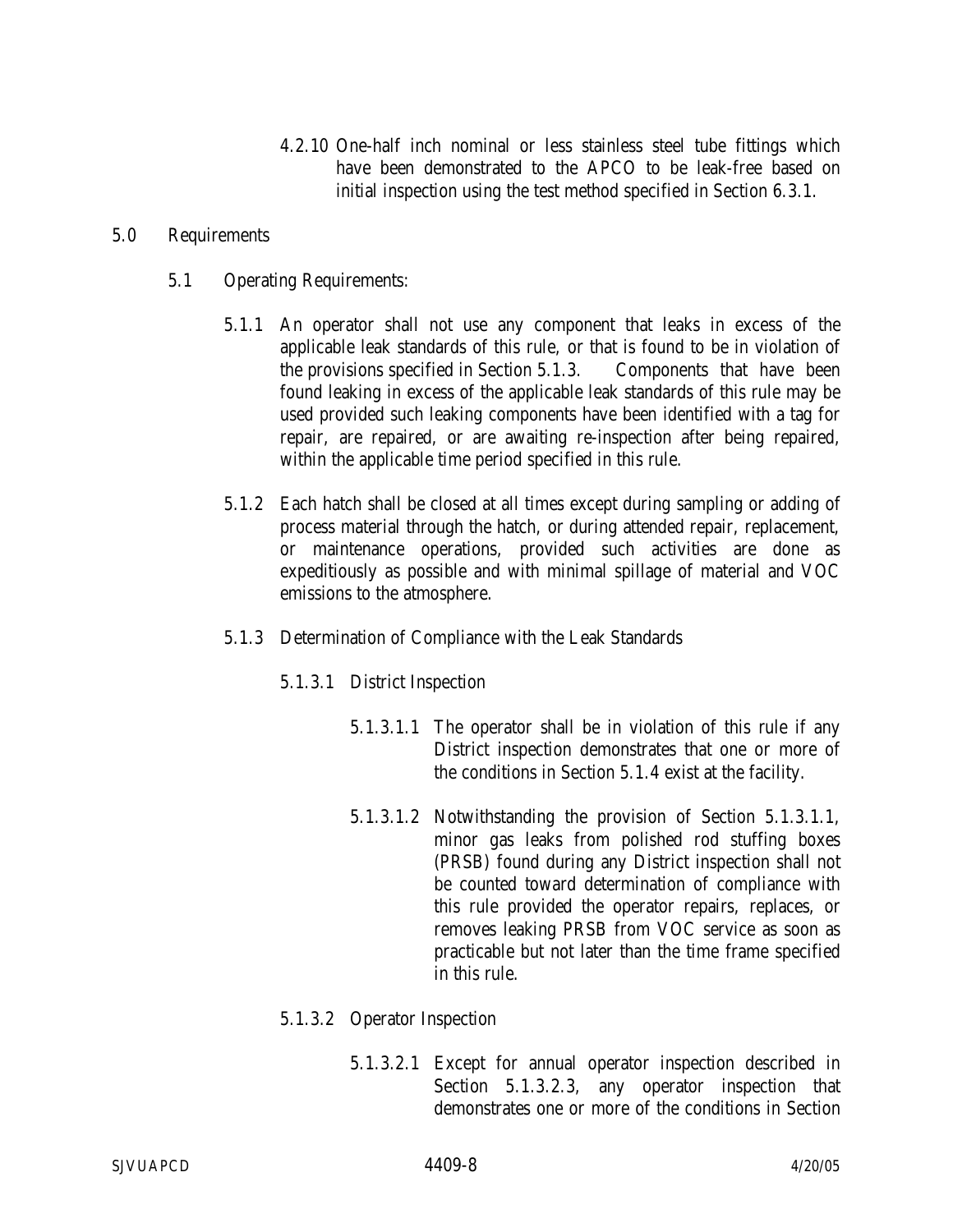4.2.10 One-half inch nominal or less stainless steel tube fittings which have been demonstrated to the APCO to be leak-free based on initial inspection using the test method specified in Section 6.3.1.

#### 5.0 Requirements

- 5.1 Operating Requirements:
	- 5.1.1 An operator shall not use any component that leaks in excess of the applicable leak standards of this rule, or that is found to be in violation of the provisions specified in Section 5.1.3. Components that have been found leaking in excess of the applicable leak standards of this rule may be used provided such leaking components have been identified with a tag for repair, are repaired, or are awaiting re-inspection after being repaired, within the applicable time period specified in this rule.
	- 5.1.2 Each hatch shall be closed at all times except during sampling or adding of process material through the hatch, or during attended repair, replacement, or maintenance operations, provided such activities are done as expeditiously as possible and with minimal spillage of material and VOC emissions to the atmosphere.
	- 5.1.3 Determination of Compliance with the Leak Standards
		- 5.1.3.1 District Inspection
			- 5.1.3.1.1 The operator shall be in violation of this rule if any District inspection demonstrates that one or more of the conditions in Section 5.1.4 exist at the facility.
			- 5.1.3.1.2 Notwithstanding the provision of Section 5.1.3.1.1, minor gas leaks from polished rod stuffing boxes (PRSB) found during any District inspection shall not be counted toward determination of compliance with this rule provided the operator repairs, replaces, or removes leaking PRSB from VOC service as soon as practicable but not later than the time frame specified in this rule.

## 5.1.3.2 Operator Inspection

5.1.3.2.1 Except for annual operator inspection described in Section 5.1.3.2.3, any operator inspection that demonstrates one or more of the conditions in Section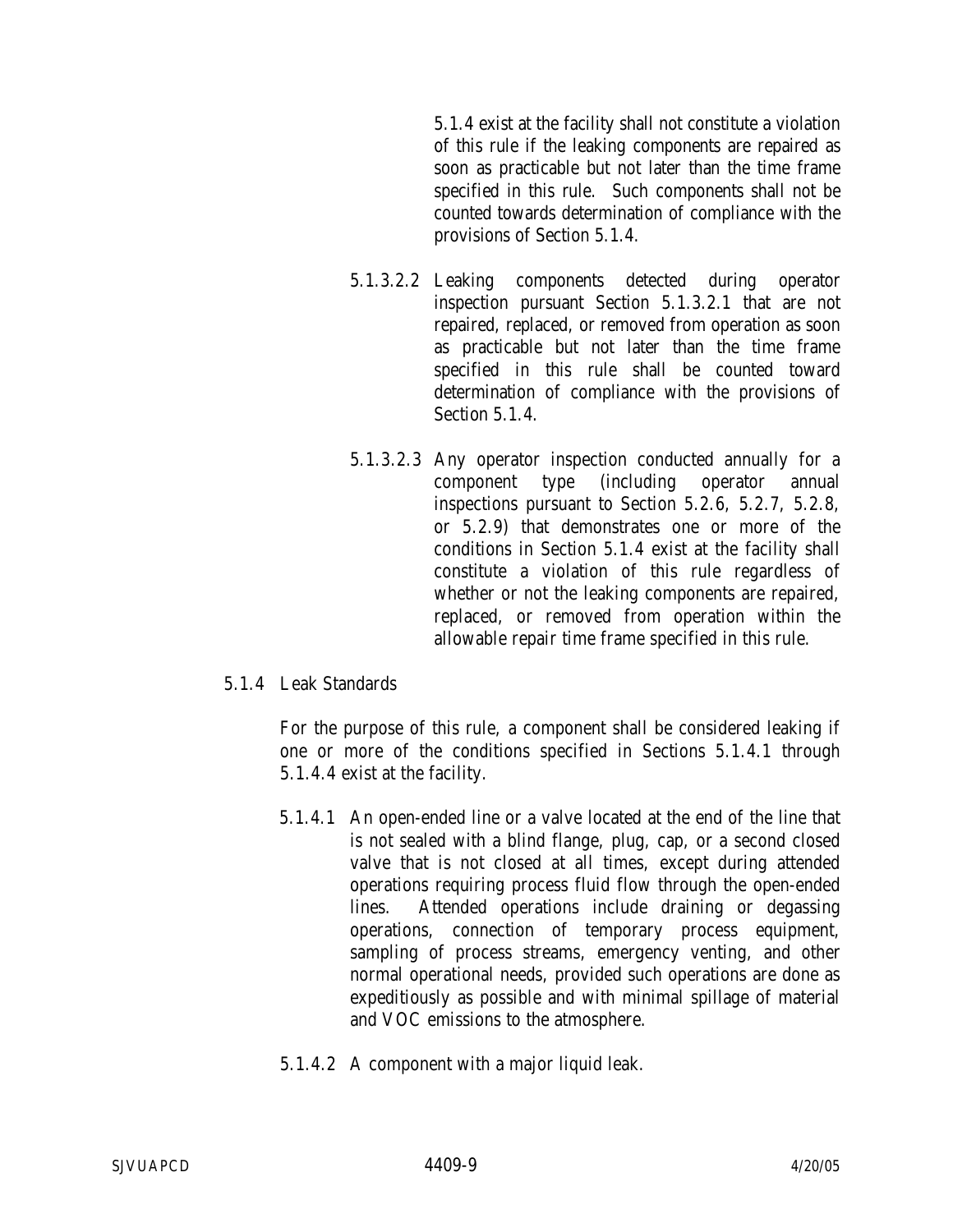5.1.4 exist at the facility shall not constitute a violation of this rule if the leaking components are repaired as soon as practicable but not later than the time frame specified in this rule. Such components shall not be counted towards determination of compliance with the provisions of Section 5.1.4.

- 5.1.3.2.2 Leaking components detected during operator inspection pursuant Section 5.1.3.2.1 that are not repaired, replaced, or removed from operation as soon as practicable but not later than the time frame specified in this rule shall be counted toward determination of compliance with the provisions of Section 5.1.4.
- 5.1.3.2.3 Any operator inspection conducted annually for a component type (including operator annual inspections pursuant to Section 5.2.6, 5.2.7, 5.2.8, or 5.2.9) that demonstrates one or more of the conditions in Section 5.1.4 exist at the facility shall constitute a violation of this rule regardless of whether or not the leaking components are repaired, replaced, or removed from operation within the allowable repair time frame specified in this rule.

## 5.1.4 Leak Standards

For the purpose of this rule, a component shall be considered leaking if one or more of the conditions specified in Sections 5.1.4.1 through 5.1.4.4 exist at the facility.

- 5.1.4.1 An open-ended line or a valve located at the end of the line that is not sealed with a blind flange, plug, cap, or a second closed valve that is not closed at all times, except during attended operations requiring process fluid flow through the open-ended lines. Attended operations include draining or degassing operations, connection of temporary process equipment, sampling of process streams, emergency venting, and other normal operational needs, provided such operations are done as expeditiously as possible and with minimal spillage of material and VOC emissions to the atmosphere.
- 5.1.4.2 A component with a major liquid leak.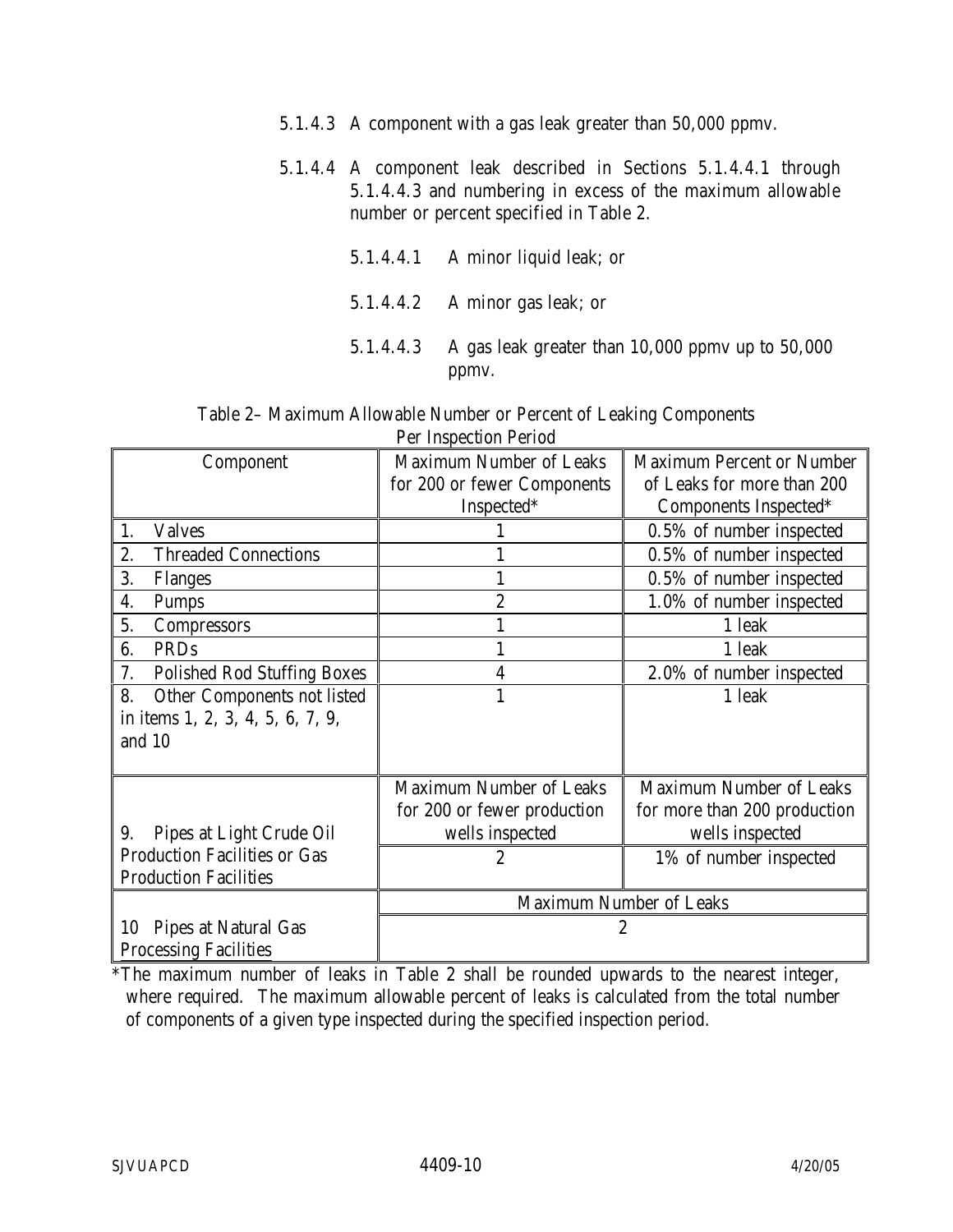- 5.1.4.3 A component with a gas leak greater than 50,000 ppmv.
- 5.1.4.4 A component leak described in Sections 5.1.4.4.1 through 5.1.4.4.3 and numbering in excess of the maximum allowable number or percent specified in Table 2.
	- 5.1.4.4.1 A minor liquid leak; or
	- 5.1.4.4.2 A minor gas leak; or
	- 5.1.4.4.3 A gas leak greater than 10,000 ppmv up to 50,000 ppmv.

Table 2– Maximum Allowable Number or Percent of Leaking Components Per Inspection Period

| Component                                | <b>Maximum Number of Leaks</b> | <b>Maximum Percent or Number</b> |
|------------------------------------------|--------------------------------|----------------------------------|
|                                          | for 200 or fewer Components    | of Leaks for more than 200       |
|                                          | Inspected*                     | Components Inspected*            |
| <b>Valves</b><br>1.                      |                                | 0.5% of number inspected         |
| <b>Threaded Connections</b><br>2.        |                                | 0.5% of number inspected         |
| 3.<br><b>Flanges</b>                     | 1                              | 0.5% of number inspected         |
| 4.<br><b>Pumps</b>                       | $\overline{2}$                 | 1.0% of number inspected         |
| 5.<br><b>Compressors</b>                 |                                | 1 leak                           |
| 6.<br><b>PRDs</b>                        |                                | 1 leak                           |
| 7.<br><b>Polished Rod Stuffing Boxes</b> | 4                              | 2.0% of number inspected         |
| Other Components not listed<br>8.        | 1                              | 1 leak                           |
| in items 1, 2, 3, 4, 5, 6, 7, 9,         |                                |                                  |
| and 10                                   |                                |                                  |
|                                          |                                |                                  |
|                                          | <b>Maximum Number of Leaks</b> | <b>Maximum Number of Leaks</b>   |
|                                          | for 200 or fewer production    | for more than 200 production     |
| Pipes at Light Crude Oil<br>9.           | wells inspected                | wells inspected                  |
| <b>Production Facilities or Gas</b>      | 2                              | 1% of number inspected           |
| <b>Production Facilities</b>             |                                |                                  |
|                                          | <b>Maximum Number of Leaks</b> |                                  |
| <b>Pipes at Natural Gas</b><br>10        | 2                              |                                  |
| <b>Processing Facilities</b>             |                                |                                  |

\*The maximum number of leaks in Table 2 shall be rounded upwards to the nearest integer, where required. The maximum allowable percent of leaks is calculated from the total number of components of a given type inspected during the specified inspection period.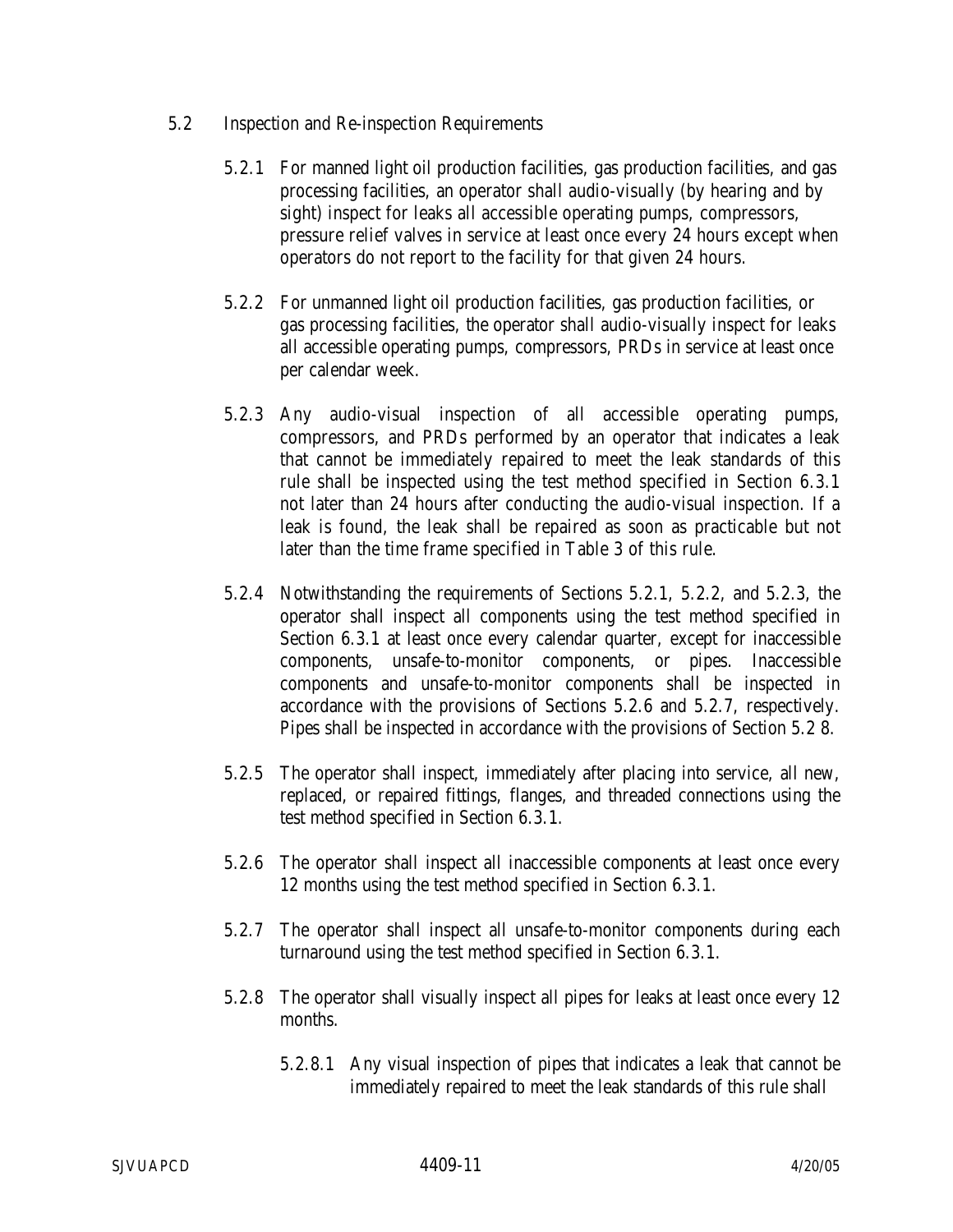- 5.2 Inspection and Re-inspection Requirements
	- 5.2.1 For manned light oil production facilities, gas production facilities, and gas processing facilities, an operator shall audio-visually (by hearing and by sight) inspect for leaks all accessible operating pumps, compressors, pressure relief valves in service at least once every 24 hours except when operators do not report to the facility for that given 24 hours.
	- 5.2.2 For unmanned light oil production facilities, gas production facilities, or gas processing facilities, the operator shall audio-visually inspect for leaks all accessible operating pumps, compressors, PRDs in service at least once per calendar week.
	- 5.2.3 Any audio-visual inspection of all accessible operating pumps, compressors, and PRDs performed by an operator that indicates a leak that cannot be immediately repaired to meet the leak standards of this rule shall be inspected using the test method specified in Section 6.3.1 not later than 24 hours after conducting the audio-visual inspection. If a leak is found, the leak shall be repaired as soon as practicable but not later than the time frame specified in Table 3 of this rule.
	- 5.2.4 Notwithstanding the requirements of Sections 5.2.1, 5.2.2, and 5.2.3, the operator shall inspect all components using the test method specified in Section 6.3.1 at least once every calendar quarter, except for inaccessible components, unsafe-to-monitor components, or pipes. Inaccessible components and unsafe-to-monitor components shall be inspected in accordance with the provisions of Sections 5.2.6 and 5.2.7, respectively. Pipes shall be inspected in accordance with the provisions of Section 5.2 8.
	- 5.2.5 The operator shall inspect, immediately after placing into service, all new, replaced, or repaired fittings, flanges, and threaded connections using the test method specified in Section 6.3.1.
	- 5.2.6 The operator shall inspect all inaccessible components at least once every 12 months using the test method specified in Section 6.3.1.
	- 5.2.7 The operator shall inspect all unsafe-to-monitor components during each turnaround using the test method specified in Section 6.3.1.
	- 5.2.8 The operator shall visually inspect all pipes for leaks at least once every 12 months.
		- 5.2.8.1 Any visual inspection of pipes that indicates a leak that cannot be immediately repaired to meet the leak standards of this rule shall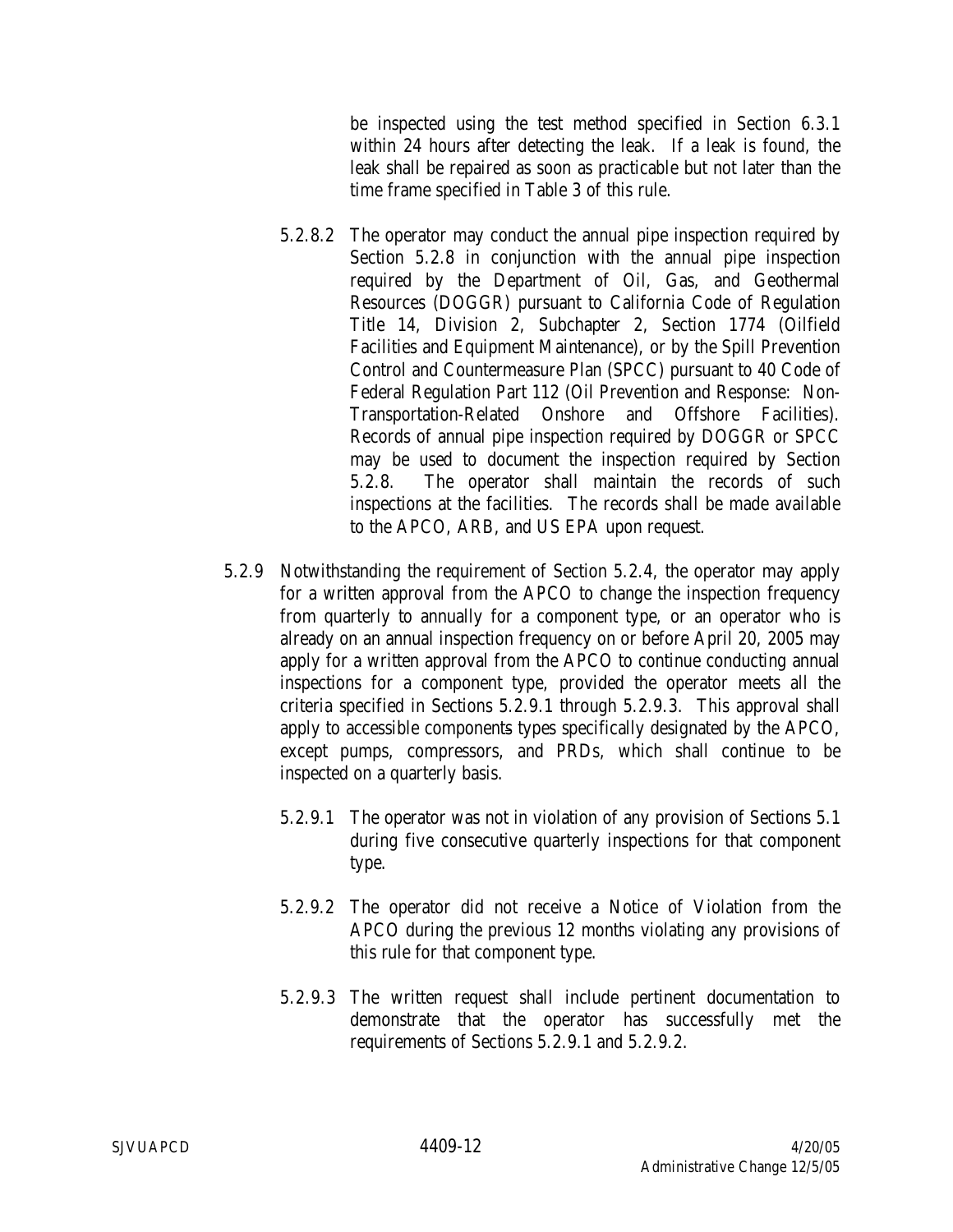be inspected using the test method specified in Section 6.3.1 within 24 hours after detecting the leak. If a leak is found, the leak shall be repaired as soon as practicable but not later than the time frame specified in Table 3 of this rule.

- 5.2.8.2 The operator may conduct the annual pipe inspection required by Section 5.2.8 in conjunction with the annual pipe inspection required by the Department of Oil, Gas, and Geothermal Resources (DOGGR) pursuant to California Code of Regulation Title 14, Division 2, Subchapter 2, Section 1774 (Oilfield Facilities and Equipment Maintenance), or by the Spill Prevention Control and Countermeasure Plan (SPCC) pursuant to 40 Code of Federal Regulation Part 112 (Oil Prevention and Response: Non-Transportation-Related Onshore and Offshore Facilities). Records of annual pipe inspection required by DOGGR or SPCC may be used to document the inspection required by Section 5.2.8. The operator shall maintain the records of such inspections at the facilities. The records shall be made available to the APCO, ARB, and US EPA upon request.
- 5.2.9 Notwithstanding the requirement of Section 5.2.4, the operator may apply for a written approval from the APCO to change the inspection frequency from quarterly to annually for a component type, or an operator who is already on an annual inspection frequency on or before April 20, 2005 may apply for a written approval from the APCO to continue conducting annual inspections for a component type, provided the operator meets all the criteria specified in Sections 5.2.9.1 through 5.2.9.3. This approval shall apply to accessible components types specifically designated by the APCO, except pumps, compressors, and PRDs, which shall continue to be inspected on a quarterly basis.
	- 5.2.9.1 The operator was not in violation of any provision of Sections 5.1 during five consecutive quarterly inspections for that component type.
	- 5.2.9.2 The operator did not receive a Notice of Violation from the APCO during the previous 12 months violating any provisions of this rule for that component type.
	- 5.2.9.3 The written request shall include pertinent documentation to demonstrate that the operator has successfully met the requirements of Sections 5.2.9.1 and 5.2.9.2.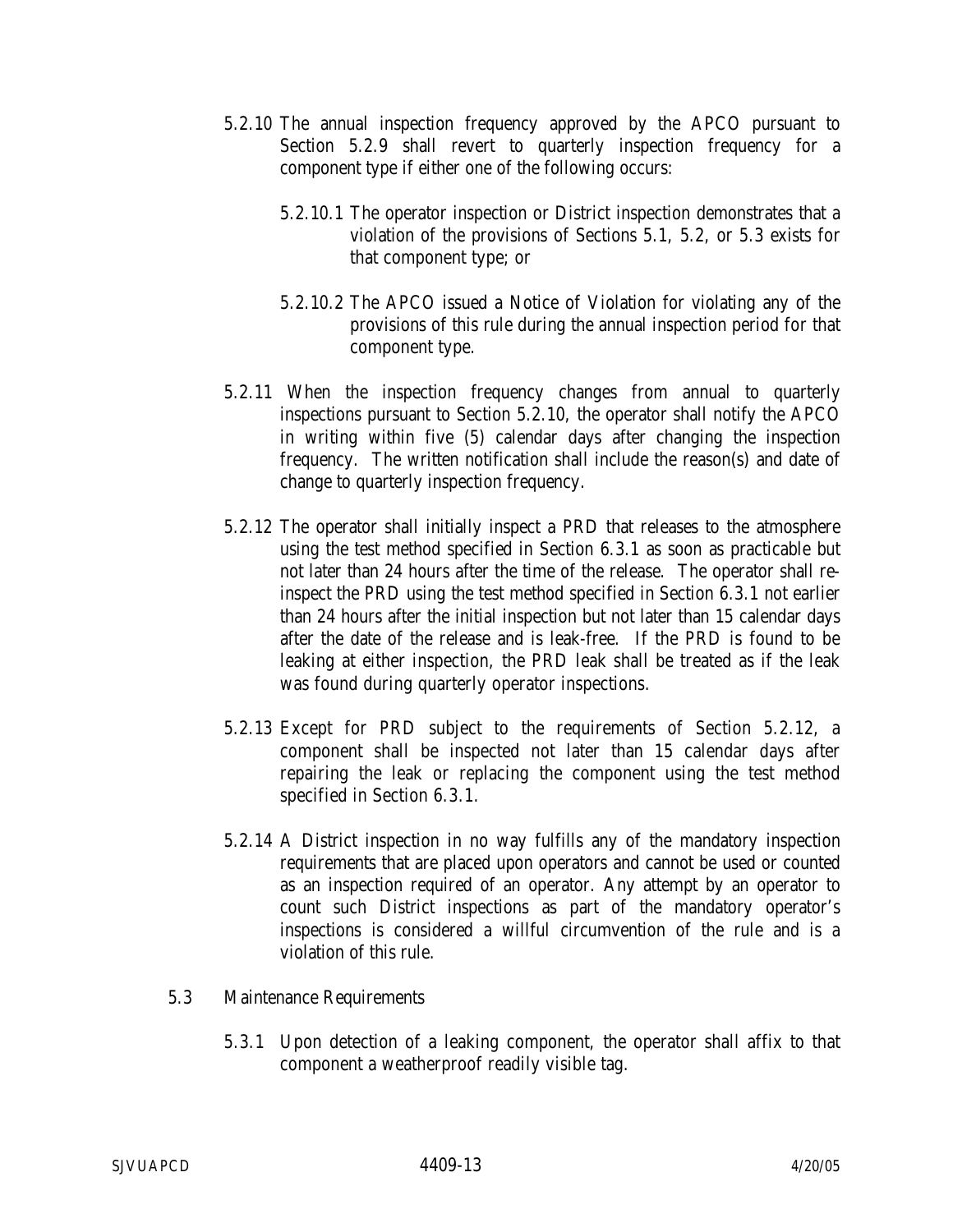- 5.2.10 The annual inspection frequency approved by the APCO pursuant to Section 5.2.9 shall revert to quarterly inspection frequency for a component type if either one of the following occurs:
	- 5.2.10.1 The operator inspection or District inspection demonstrates that a violation of the provisions of Sections 5.1, 5.2, or 5.3 exists for that component type; or
	- 5.2.10.2 The APCO issued a Notice of Violation for violating any of the provisions of this rule during the annual inspection period for that component type.
- 5.2.11 When the inspection frequency changes from annual to quarterly inspections pursuant to Section 5.2.10, the operator shall notify the APCO in writing within five (5) calendar days after changing the inspection frequency. The written notification shall include the reason(s) and date of change to quarterly inspection frequency.
- 5.2.12 The operator shall initially inspect a PRD that releases to the atmosphere using the test method specified in Section 6.3.1 as soon as practicable but not later than 24 hours after the time of the release. The operator shall reinspect the PRD using the test method specified in Section 6.3.1 not earlier than 24 hours after the initial inspection but not later than 15 calendar days after the date of the release and is leak-free. If the PRD is found to be leaking at either inspection, the PRD leak shall be treated as if the leak was found during quarterly operator inspections.
- 5.2.13 Except for PRD subject to the requirements of Section 5.2.12, a component shall be inspected not later than 15 calendar days after repairing the leak or replacing the component using the test method specified in Section 6.3.1.
- 5.2.14 A District inspection in no way fulfills any of the mandatory inspection requirements that are placed upon operators and cannot be used or counted as an inspection required of an operator. Any attempt by an operator to count such District inspections as part of the mandatory operator's inspections is considered a willful circumvention of the rule and is a violation of this rule.
- 5.3 Maintenance Requirements
	- 5.3.1 Upon detection of a leaking component, the operator shall affix to that component a weatherproof readily visible tag.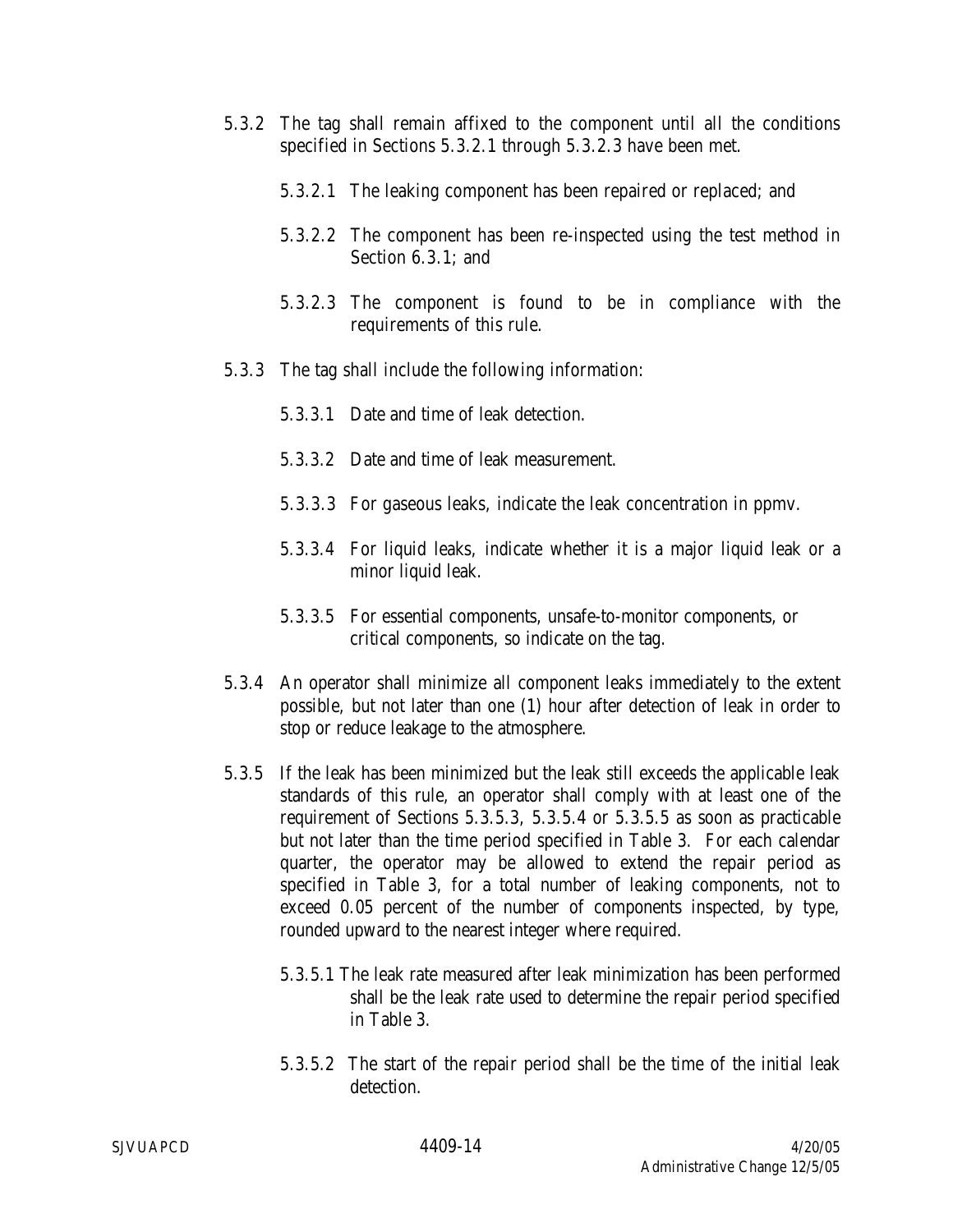- 5.3.2 The tag shall remain affixed to the component until all the conditions specified in Sections 5.3.2.1 through 5.3.2.3 have been met.
	- 5.3.2.1 The leaking component has been repaired or replaced; and
	- 5.3.2.2 The component has been re-inspected using the test method in Section 6.3.1; and
	- 5.3.2.3 The component is found to be in compliance with the requirements of this rule.
- 5.3.3 The tag shall include the following information:
	- 5.3.3.1 Date and time of leak detection.
	- 5.3.3.2 Date and time of leak measurement.
	- 5.3.3.3 For gaseous leaks, indicate the leak concentration in ppmv.
	- 5.3.3.4 For liquid leaks, indicate whether it is a major liquid leak or a minor liquid leak.
	- 5.3.3.5 For essential components, unsafe-to-monitor components, or critical components, so indicate on the tag.
- 5.3.4 An operator shall minimize all component leaks immediately to the extent possible, but not later than one (1) hour after detection of leak in order to stop or reduce leakage to the atmosphere.
- 5.3.5 If the leak has been minimized but the leak still exceeds the applicable leak standards of this rule, an operator shall comply with at least one of the requirement of Sections 5.3.5.3, 5.3.5.4 or 5.3.5.5 as soon as practicable but not later than the time period specified in Table 3. For each calendar quarter, the operator may be allowed to extend the repair period as specified in Table 3, for a total number of leaking components, not to exceed 0.05 percent of the number of components inspected, by type, rounded upward to the nearest integer where required.
	- 5.3.5.1 The leak rate measured after leak minimization has been performed shall be the leak rate used to determine the repair period specified in Table 3.
	- 5.3.5.2 The start of the repair period shall be the time of the initial leak detection.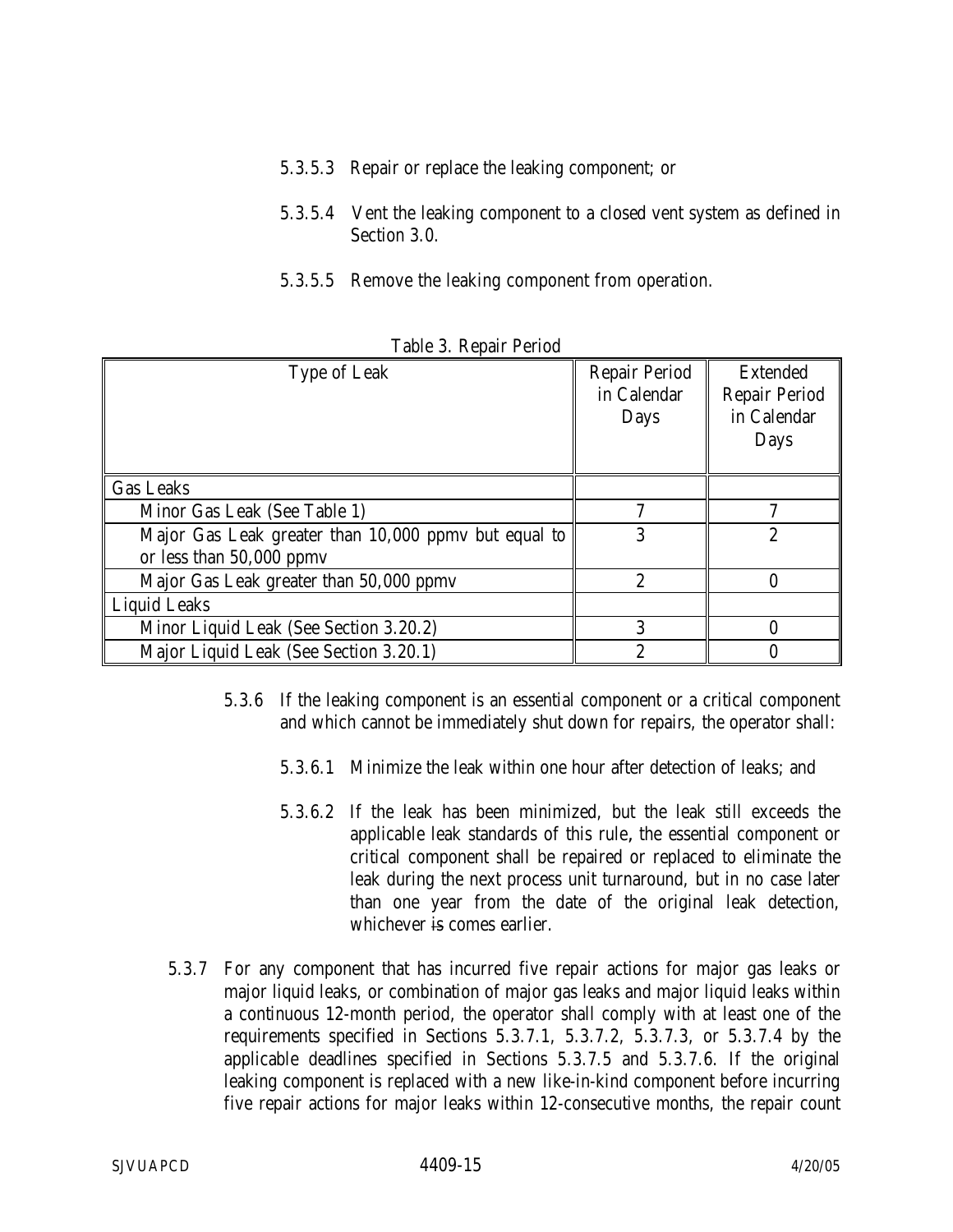- 5.3.5.3 Repair or replace the leaking component; or
- 5.3.5.4 Vent the leaking component to a closed vent system as defined in Section 3.0.
- 5.3.5.5 Remove the leaking component from operation.

| Table of Impall I cribu                              |                                             |                                                                |  |  |
|------------------------------------------------------|---------------------------------------------|----------------------------------------------------------------|--|--|
| Type of Leak                                         | <b>Repair Period</b><br>in Calendar<br>Days | <b>Extended</b><br><b>Repair Period</b><br>in Calendar<br>Days |  |  |
| <b>Gas Leaks</b>                                     |                                             |                                                                |  |  |
| Minor Gas Leak (See Table 1)                         | 7                                           |                                                                |  |  |
| Major Gas Leak greater than 10,000 ppmv but equal to | 3                                           | $\overline{2}$                                                 |  |  |
| or less than $50,000$ ppmv                           |                                             |                                                                |  |  |
| Major Gas Leak greater than 50,000 ppmv              | $\overline{2}$                              |                                                                |  |  |
| <b>Liquid Leaks</b>                                  |                                             |                                                                |  |  |
| Minor Liquid Leak (See Section 3.20.2)               | 3                                           | 0                                                              |  |  |
| Major Liquid Leak (See Section 3.20.1)               | $\overline{2}$                              |                                                                |  |  |

Table 3. Repair Period

- 5.3.6 If the leaking component is an essential component or a critical component and which cannot be immediately shut down for repairs, the operator shall:
	- 5.3.6.1 Minimize the leak within one hour after detection of leaks; and
	- 5.3.6.2 If the leak has been minimized, but the leak still exceeds the applicable leak standards of this rule, the essential component or critical component shall be repaired or replaced to eliminate the leak during the next process unit turnaround, but in no case later than one year from the date of the original leak detection, whichever is comes earlier.
- 5.3.7 For any component that has incurred five repair actions for major gas leaks or major liquid leaks, or combination of major gas leaks and major liquid leaks within a continuous 12-month period, the operator shall comply with at least one of the requirements specified in Sections 5.3.7.1, 5.3.7.2, 5.3.7.3, or 5.3.7.4 by the applicable deadlines specified in Sections 5.3.7.5 and 5.3.7.6. If the original leaking component is replaced with a new like-in-kind component before incurring five repair actions for major leaks within 12-consecutive months, the repair count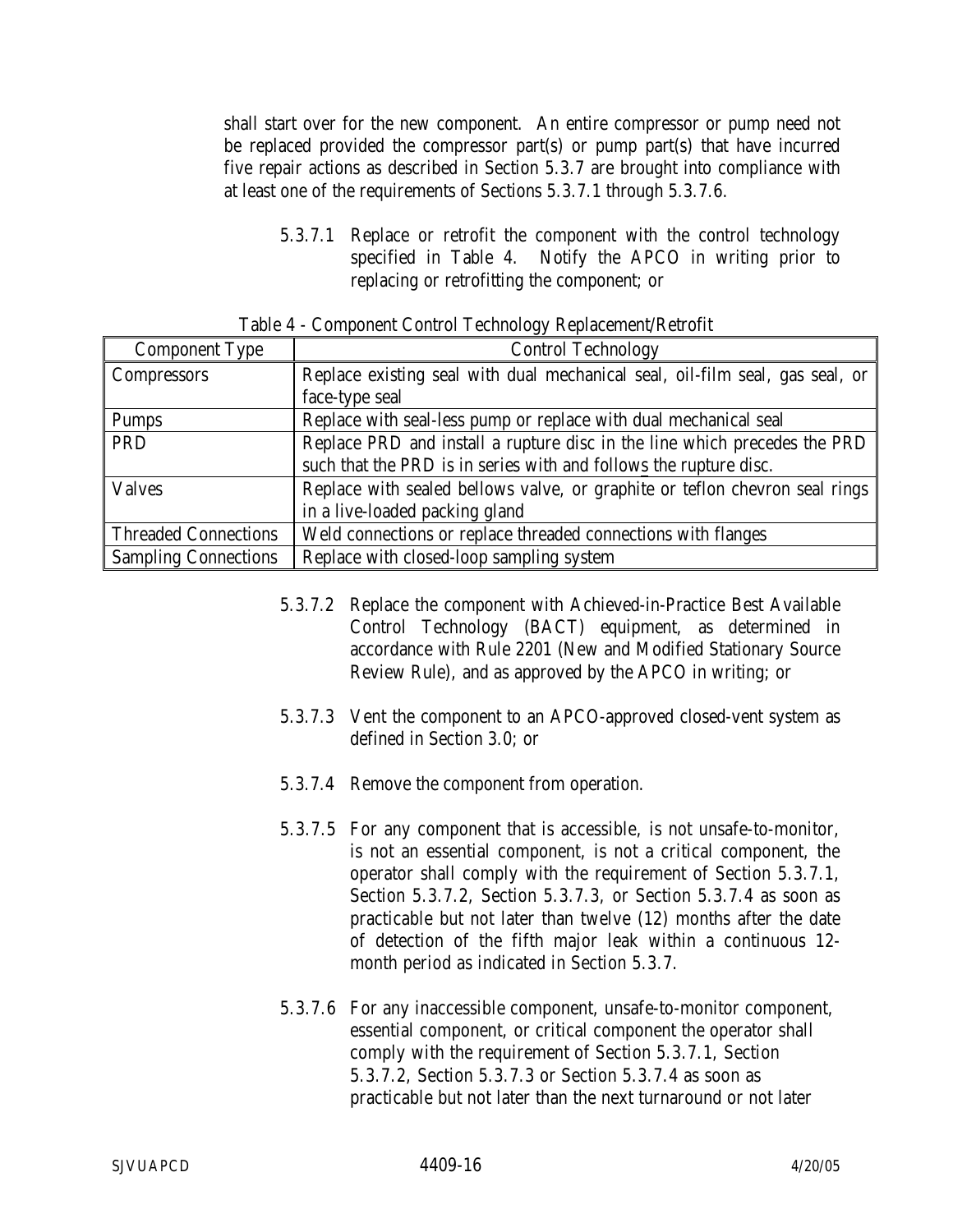shall start over for the new component. An entire compressor or pump need not be replaced provided the compressor part(s) or pump part(s) that have incurred five repair actions as described in Section 5.3.7 are brought into compliance with at least one of the requirements of Sections 5.3.7.1 through 5.3.7.6.

5.3.7.1 Replace or retrofit the component with the control technology specified in Table 4. Notify the APCO in writing prior to replacing or retrofitting the component; or

| <b>Component Type</b>       | <b>Control Technology</b>                                                    |
|-----------------------------|------------------------------------------------------------------------------|
| <b>Compressors</b>          | Replace existing seal with dual mechanical seal, oil-film seal, gas seal, or |
|                             | face-type seal                                                               |
| Pumps                       | Replace with seal-less pump or replace with dual mechanical seal             |
| PRD                         | Replace PRD and install a rupture disc in the line which precedes the PRD    |
|                             | such that the PRD is in series with and follows the rupture disc.            |
| <b>Valves</b>               | Replace with sealed bellows valve, or graphite or teflon chevron seal rings  |
|                             | in a live-loaded packing gland                                               |
| Threaded Connections        | Weld connections or replace threaded connections with flanges                |
| <b>Sampling Connections</b> | Replace with closed-loop sampling system                                     |

Table 4 - Component Control Technology Replacement/Retrofit

- 5.3.7.2 Replace the component with Achieved-in-Practice Best Available Control Technology (BACT) equipment, as determined in accordance with Rule 2201 (New and Modified Stationary Source Review Rule), and as approved by the APCO in writing; or
- 5.3.7.3 Vent the component to an APCO-approved closed-vent system as defined in Section 3.0; or
- 5.3.7.4 Remove the component from operation.
- 5.3.7.5 For any component that is accessible, is not unsafe-to-monitor, is not an essential component, is not a critical component, the operator shall comply with the requirement of Section 5.3.7.1, Section 5.3.7.2, Section 5.3.7.3, or Section 5.3.7.4 as soon as practicable but not later than twelve (12) months after the date of detection of the fifth major leak within a continuous 12 month period as indicated in Section 5.3.7.
- 5.3.7.6 For any inaccessible component, unsafe-to-monitor component, essential component, or critical component the operator shall comply with the requirement of Section 5.3.7.1, Section 5.3.7.2, Section 5.3.7.3 or Section 5.3.7.4 as soon as practicable but not later than the next turnaround or not later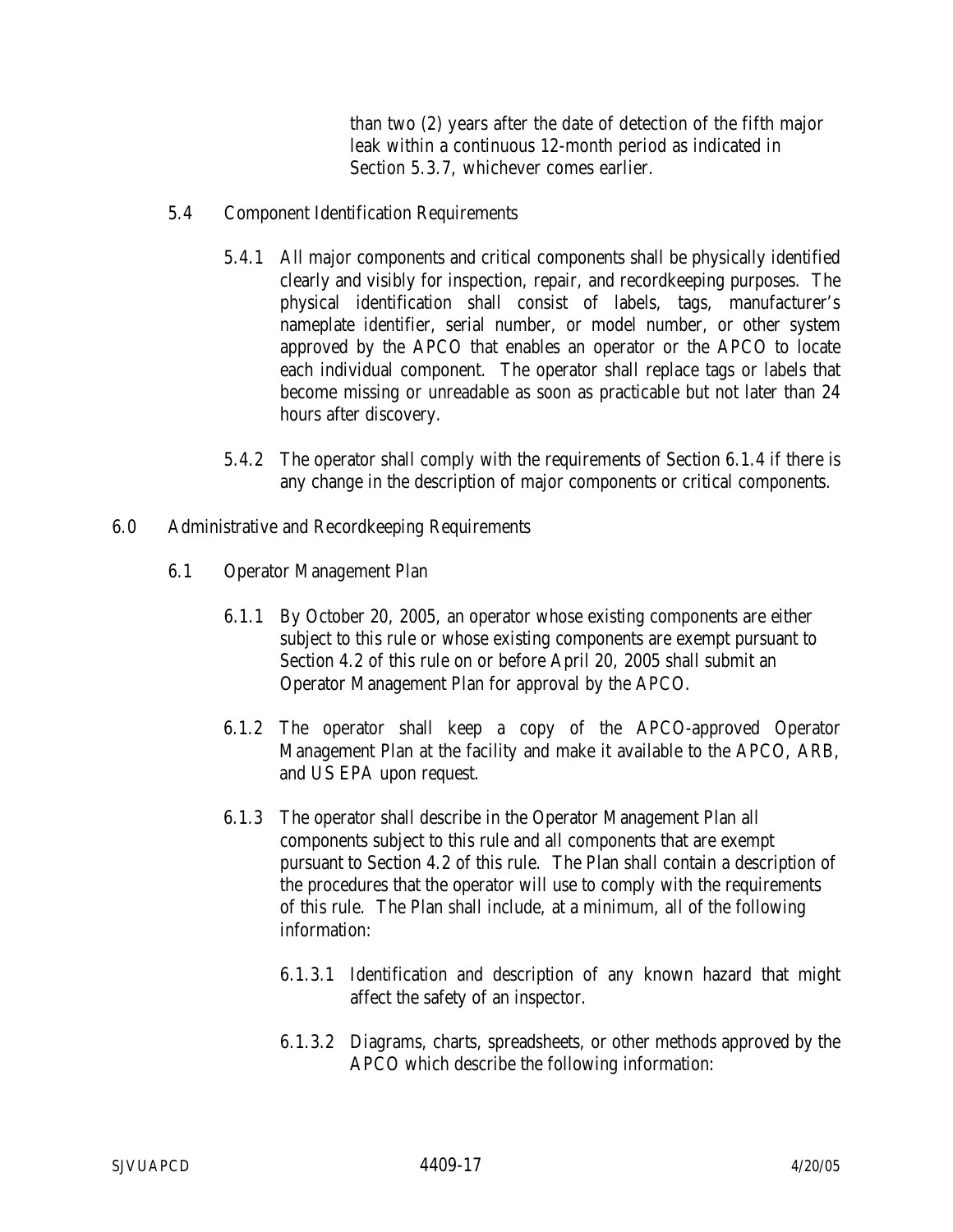than two (2) years after the date of detection of the fifth major leak within a continuous 12-month period as indicated in Section 5.3.7, whichever comes earlier.

- 5.4 Component Identification Requirements
	- 5.4.1 All major components and critical components shall be physically identified clearly and visibly for inspection, repair, and recordkeeping purposes. The physical identification shall consist of labels, tags, manufacturer's nameplate identifier, serial number, or model number, or other system approved by the APCO that enables an operator or the APCO to locate each individual component. The operator shall replace tags or labels that become missing or unreadable as soon as practicable but not later than 24 hours after discovery.
	- 5.4.2 The operator shall comply with the requirements of Section 6.1.4 if there is any change in the description of major components or critical components.
- 6.0 Administrative and Recordkeeping Requirements
	- 6.1 Operator Management Plan
		- 6.1.1 By October 20, 2005, an operator whose existing components are either subject to this rule or whose existing components are exempt pursuant to Section 4.2 of this rule on or before April 20, 2005 shall submit an Operator Management Plan for approval by the APCO.
		- 6.1.2 The operator shall keep a copy of the APCO-approved Operator Management Plan at the facility and make it available to the APCO, ARB, and US EPA upon request.
		- 6.1.3 The operator shall describe in the Operator Management Plan all components subject to this rule and all components that are exempt pursuant to Section 4.2 of this rule. The Plan shall contain a description of the procedures that the operator will use to comply with the requirements of this rule. The Plan shall include, at a minimum, all of the following information:
			- 6.1.3.1 Identification and description of any known hazard that might affect the safety of an inspector.
			- 6.1.3.2 Diagrams, charts, spreadsheets, or other methods approved by the APCO which describe the following information: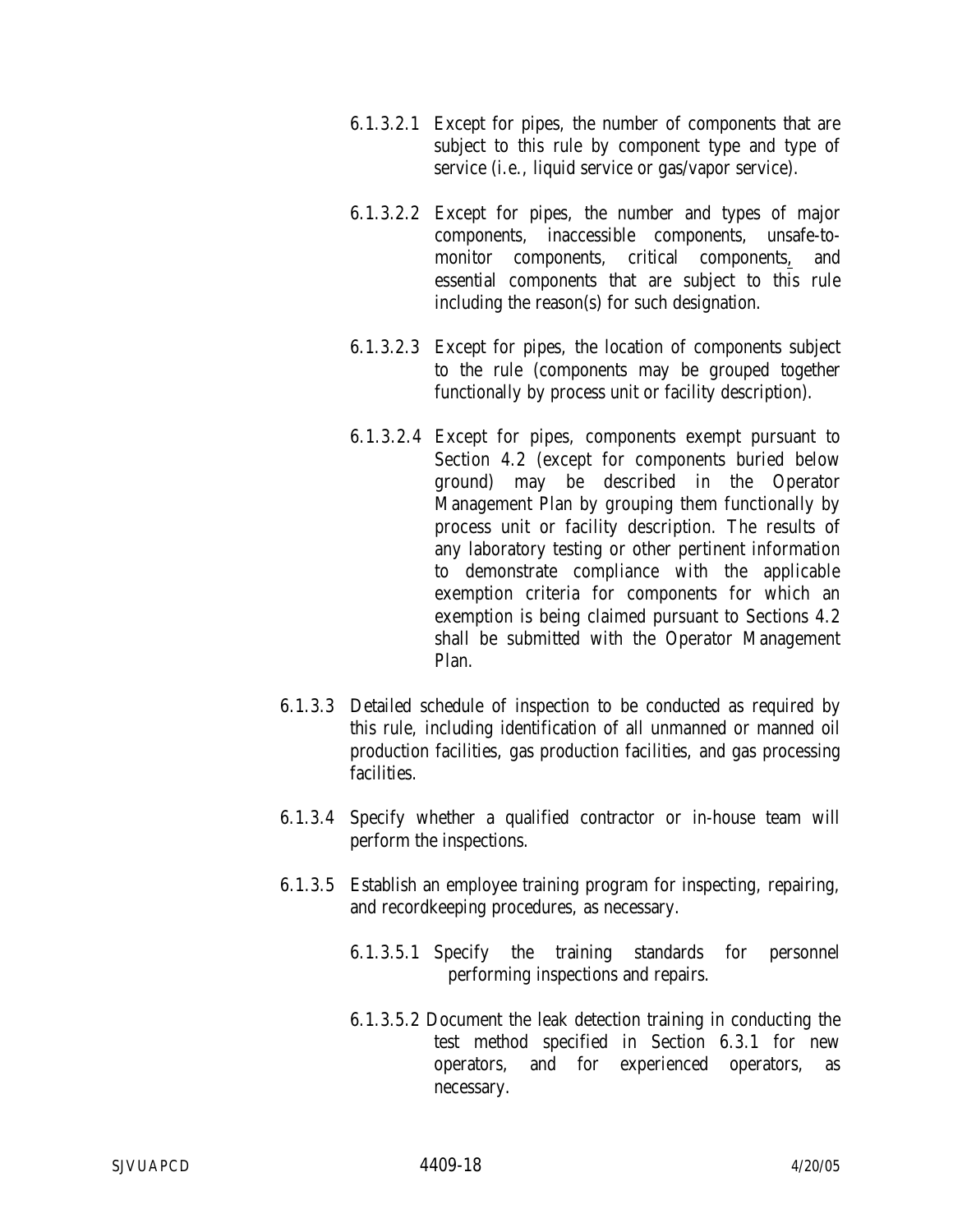- 6.1.3.2.1 Except for pipes, the number of components that are subject to this rule by component type and type of service (i.e., liquid service or gas/vapor service).
- 6.1.3.2.2 Except for pipes, the number and types of major components, inaccessible components, unsafe-tomonitor components, critical components, and essential components that are subject to this rule including the reason(s) for such designation.
- 6.1.3.2.3 Except for pipes, the location of components subject to the rule (components may be grouped together functionally by process unit or facility description).
- 6.1.3.2.4 Except for pipes, components exempt pursuant to Section 4.2 (except for components buried below ground) may be described in the Operator Management Plan by grouping them functionally by process unit or facility description. The results of any laboratory testing or other pertinent information to demonstrate compliance with the applicable exemption criteria for components for which an exemption is being claimed pursuant to Sections 4.2 shall be submitted with the Operator Management Plan.
- 6.1.3.3 Detailed schedule of inspection to be conducted as required by this rule, including identification of all unmanned or manned oil production facilities, gas production facilities, and gas processing facilities.
- 6.1.3.4 Specify whether a qualified contractor or in-house team will perform the inspections.
- 6.1.3.5 Establish an employee training program for inspecting, repairing, and recordkeeping procedures, as necessary.
	- 6.1.3.5.1 Specify the training standards for personnel performing inspections and repairs.
	- 6.1.3.5.2 Document the leak detection training in conducting the test method specified in Section 6.3.1 for new operators, and for experienced operators, as necessary.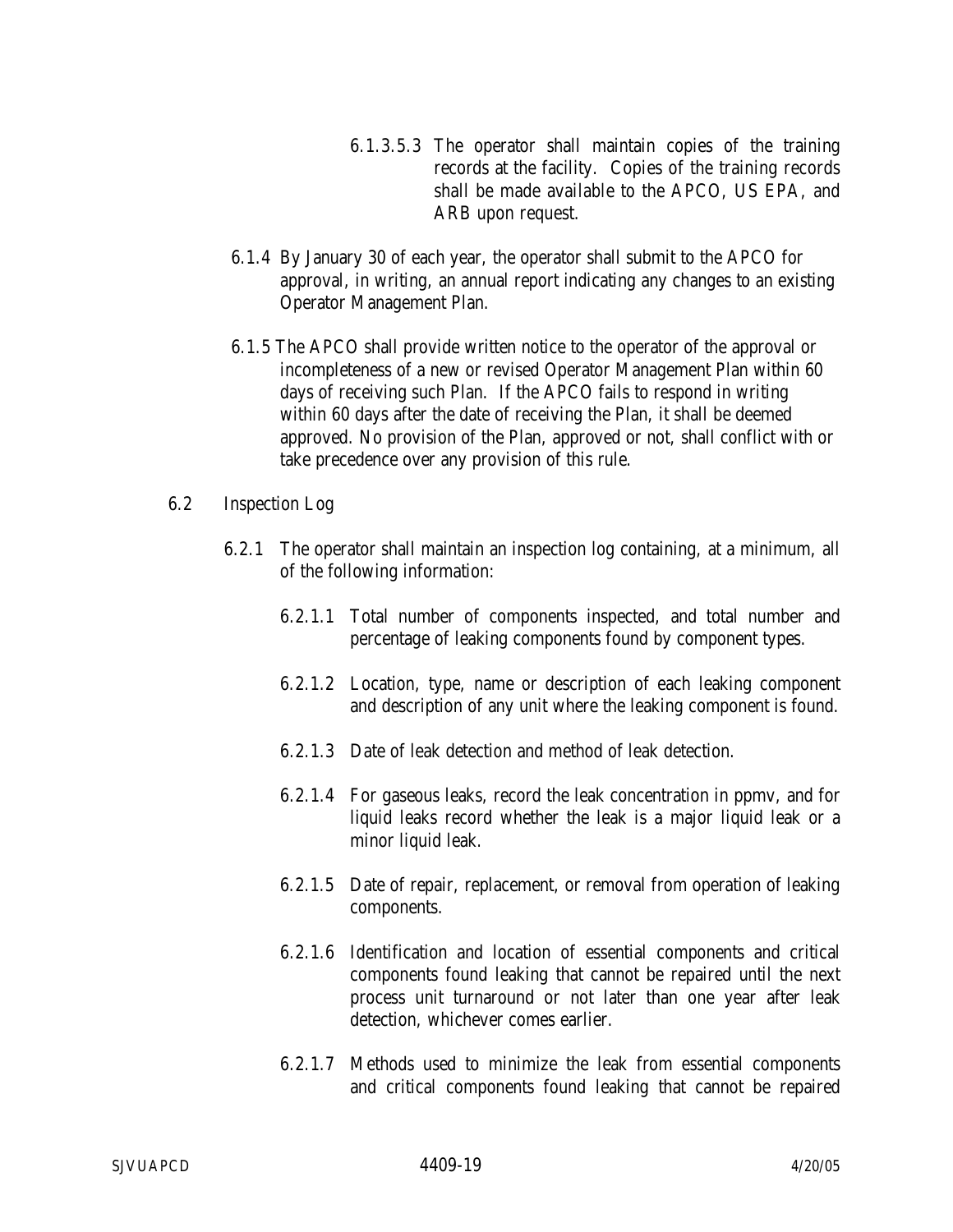- 6.1.3.5.3 The operator shall maintain copies of the training records at the facility. Copies of the training records shall be made available to the APCO, US EPA, and ARB upon request.
- 6.1.4 By January 30 of each year, the operator shall submit to the APCO for approval, in writing, an annual report indicating any changes to an existing Operator Management Plan.
- 6.1.5 The APCO shall provide written notice to the operator of the approval or incompleteness of a new or revised Operator Management Plan within 60 days of receiving such Plan. If the APCO fails to respond in writing within 60 days after the date of receiving the Plan, it shall be deemed approved. No provision of the Plan, approved or not, shall conflict with or take precedence over any provision of this rule.
- 6.2 Inspection Log
	- 6.2.1 The operator shall maintain an inspection log containing, at a minimum, all of the following information:
		- 6.2.1.1 Total number of components inspected, and total number and percentage of leaking components found by component types.
		- 6.2.1.2 Location, type, name or description of each leaking component and description of any unit where the leaking component is found.
		- 6.2.1.3 Date of leak detection and method of leak detection.
		- 6.2.1.4 For gaseous leaks, record the leak concentration in ppmv, and for liquid leaks record whether the leak is a major liquid leak or a minor liquid leak.
		- 6.2.1.5 Date of repair, replacement, or removal from operation of leaking components.
		- 6.2.1.6 Identification and location of essential components and critical components found leaking that cannot be repaired until the next process unit turnaround or not later than one year after leak detection, whichever comes earlier.
		- 6.2.1.7 Methods used to minimize the leak from essential components and critical components found leaking that cannot be repaired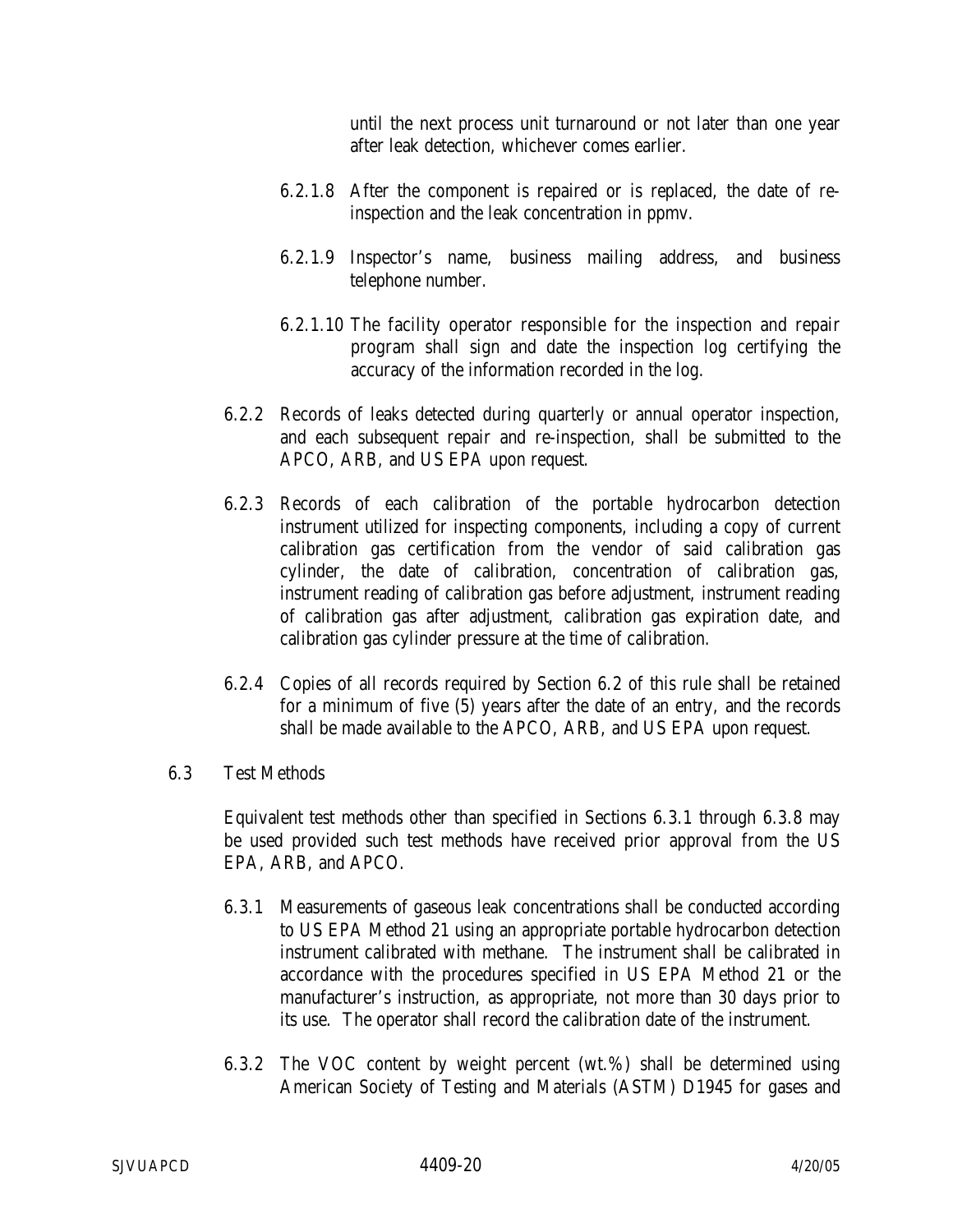until the next process unit turnaround or not later than one year after leak detection, whichever comes earlier.

- 6.2.1.8 After the component is repaired or is replaced, the date of reinspection and the leak concentration in ppmv.
- 6.2.1.9 Inspector's name, business mailing address, and business telephone number.
- 6.2.1.10 The facility operator responsible for the inspection and repair program shall sign and date the inspection log certifying the accuracy of the information recorded in the log.
- 6.2.2 Records of leaks detected during quarterly or annual operator inspection, and each subsequent repair and re-inspection, shall be submitted to the APCO, ARB, and US EPA upon request.
- 6.2.3 Records of each calibration of the portable hydrocarbon detection instrument utilized for inspecting components, including a copy of current calibration gas certification from the vendor of said calibration gas cylinder, the date of calibration, concentration of calibration gas, instrument reading of calibration gas before adjustment, instrument reading of calibration gas after adjustment, calibration gas expiration date, and calibration gas cylinder pressure at the time of calibration.
- 6.2.4 Copies of all records required by Section 6.2 of this rule shall be retained for a minimum of five (5) years after the date of an entry, and the records shall be made available to the APCO, ARB, and US EPA upon request.
- 6.3 Test Methods

Equivalent test methods other than specified in Sections 6.3.1 through 6.3.8 may be used provided such test methods have received prior approval from the US EPA, ARB, and APCO.

- 6.3.1 Measurements of gaseous leak concentrations shall be conducted according to US EPA Method 21 using an appropriate portable hydrocarbon detection instrument calibrated with methane. The instrument shall be calibrated in accordance with the procedures specified in US EPA Method 21 or the manufacturer's instruction, as appropriate, not more than 30 days prior to its use. The operator shall record the calibration date of the instrument.
- 6.3.2 The VOC content by weight percent (wt.%) shall be determined using American Society of Testing and Materials (ASTM) D1945 for gases and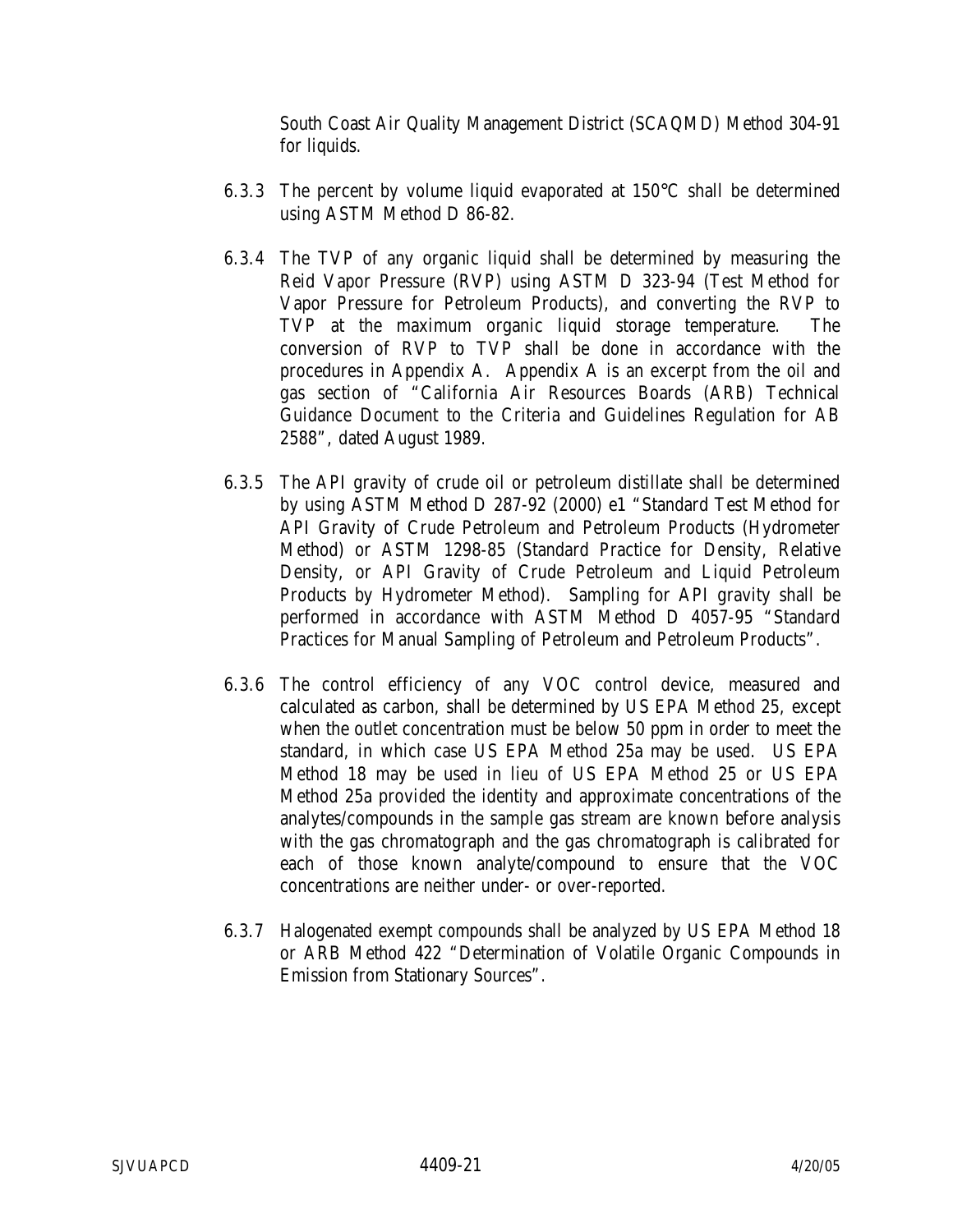South Coast Air Quality Management District (SCAQMD) Method 304-91 for liquids.

- 6.3.3 The percent by volume liquid evaporated at 150°C shall be determined using ASTM Method D 86-82.
- 6.3.4 The TVP of any organic liquid shall be determined by measuring the Reid Vapor Pressure (RVP) using ASTM D 323-94 (Test Method for Vapor Pressure for Petroleum Products), and converting the RVP to TVP at the maximum organic liquid storage temperature. The conversion of RVP to TVP shall be done in accordance with the procedures in Appendix A. Appendix A is an excerpt from the oil and gas section of "California Air Resources Boards (ARB) Technical Guidance Document to the Criteria and Guidelines Regulation for AB 2588", dated August 1989.
- 6.3.5 The API gravity of crude oil or petroleum distillate shall be determined by using ASTM Method D 287-92 (2000) e1 "Standard Test Method for API Gravity of Crude Petroleum and Petroleum Products (Hydrometer Method) or ASTM 1298-85 (Standard Practice for Density, Relative Density, or API Gravity of Crude Petroleum and Liquid Petroleum Products by Hydrometer Method). Sampling for API gravity shall be performed in accordance with ASTM Method D 4057-95 "Standard Practices for Manual Sampling of Petroleum and Petroleum Products".
- 6.3.6 The control efficiency of any VOC control device, measured and calculated as carbon, shall be determined by US EPA Method 25, except when the outlet concentration must be below 50 ppm in order to meet the standard, in which case US EPA Method 25a may be used. US EPA Method 18 may be used in lieu of US EPA Method 25 or US EPA Method 25a provided the identity and approximate concentrations of the analytes/compounds in the sample gas stream are known before analysis with the gas chromatograph and the gas chromatograph is calibrated for each of those known analyte/compound to ensure that the VOC concentrations are neither under- or over-reported.
- 6.3.7 Halogenated exempt compounds shall be analyzed by US EPA Method 18 or ARB Method 422 "Determination of Volatile Organic Compounds in Emission from Stationary Sources".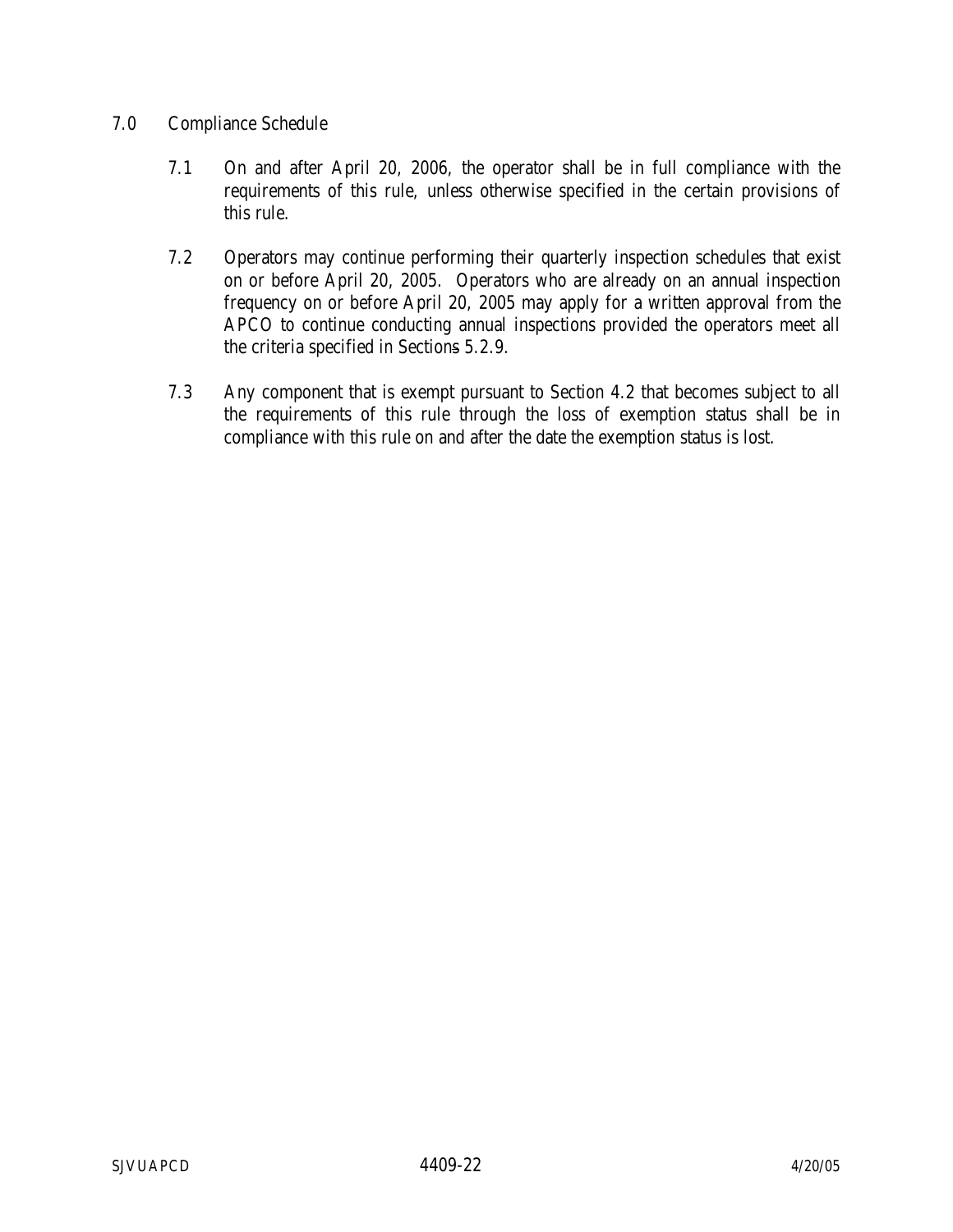## 7.0 Compliance Schedule

- 7.1 On and after April 20, 2006, the operator shall be in full compliance with the requirements of this rule, unless otherwise specified in the certain provisions of this rule.
- 7.2 Operators may continue performing their quarterly inspection schedules that exist on or before April 20, 2005. Operators who are already on an annual inspection frequency on or before April 20, 2005 may apply for a written approval from the APCO to continue conducting annual inspections provided the operators meet all the criteria specified in Sections 5.2.9.
- 7.3 Any component that is exempt pursuant to Section 4.2 that becomes subject to all the requirements of this rule through the loss of exemption status shall be in compliance with this rule on and after the date the exemption status is lost.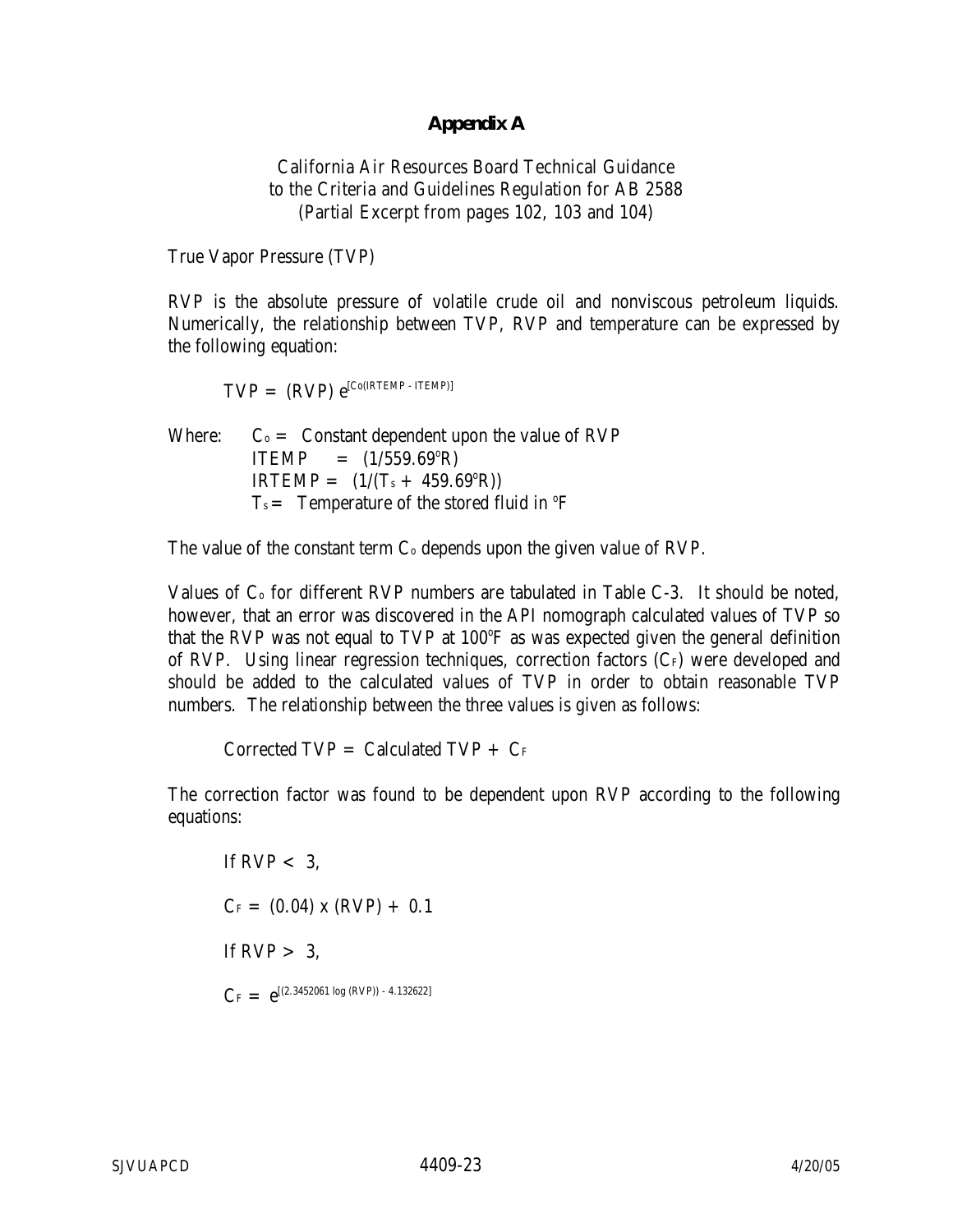## **Appendix A**

California Air Resources Board Technical Guidance to the Criteria and Guidelines Regulation for AB 2588 (Partial Excerpt from pages 102, 103 and 104)

True Vapor Pressure (TVP)

 RVP is the absolute pressure of volatile crude oil and nonviscous petroleum liquids. Numerically, the relationship between TVP, RVP and temperature can be expressed by the following equation:

 $\text{TVP} = (\text{RVP}) \; e^{[\text{Co(IRTEMP - ITEMP)}]}$ 

Where:  $C_0 =$  Constant dependent upon the value of RVP  $ITEMP = (1/559.69^{\circ}R)$  $IRTEMP = (1/(T<sub>s</sub> + 459.69<sup>o</sup>R))$  $T_s$  = Temperature of the stored fluid in  $\rm{^{\circ}F}$ 

The value of the constant term  $C_0$  depends upon the given value of RVP.

Values of C<sub>o</sub> for different RVP numbers are tabulated in Table C-3. It should be noted, however, that an error was discovered in the API nomograph calculated values of TVP so that the RVP was not equal to TVP at 100°F as was expected given the general definition of RVP. Using linear regression techniques, correction factors  $(C_F)$  were developed and should be added to the calculated values of TVP in order to obtain reasonable TVP numbers. The relationship between the three values is given as follows:

Corrected  $TVP =$  Calculated  $TVP + C_F$ 

 The correction factor was found to be dependent upon RVP according to the following equations:

If RVP  $< 3$ .  $C_F = (0.04) \times (RVP) + 0.1$ If  $RVP > 3$ ,  $C_F = e^{[(2.3452061 \log (RVP)) - 4.132622]}$